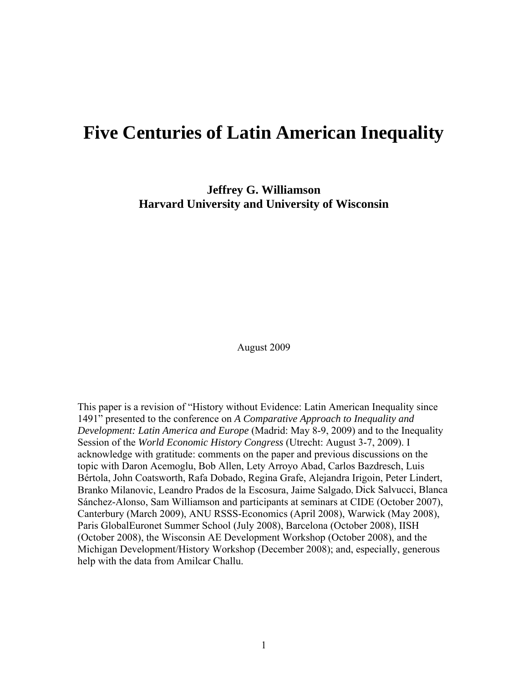# **Five Centuries of Latin American Inequality**

**Jeffrey G. Williamson Harvard University and University of Wisconsin**

August 2009

This paper is a revision of "History without Evidence: Latin American Inequality since 1491" presented to the conference on *A Comparative Approach to Inequality and Development: Latin America and Europe* (Madrid: May 8-9, 2009) and to the Inequality Session of the *World Economic History Congress* (Utrecht: August 3-7, 2009). I acknowledge with gratitude: comments on the paper and previous discussions on the topic with Daron Acemoglu, Bob Allen, Lety Arroyo Abad, Carlos Bazdresch, Luis Bértola, John Coatsworth, Rafa Dobado, Regina Grafe, Alejandra Irigoin, Peter Lindert, Branko Milanovic, Leandro Prados de la Escosura, Jaime Salgado, Dick Salvucci, Blanca Sánchez-Alonso, Sam Williamson and participants at seminars at CIDE (October 2007), Canterbury (March 2009), ANU RSSS-Economics (April 2008), Warwick (May 2008), Paris GlobalEuronet Summer School (July 2008), Barcelona (October 2008), IISH (October 2008), the Wisconsin AE Development Workshop (October 2008), and the Michigan Development/History Workshop (December 2008); and, especially, generous help with the data from Amilcar Challu.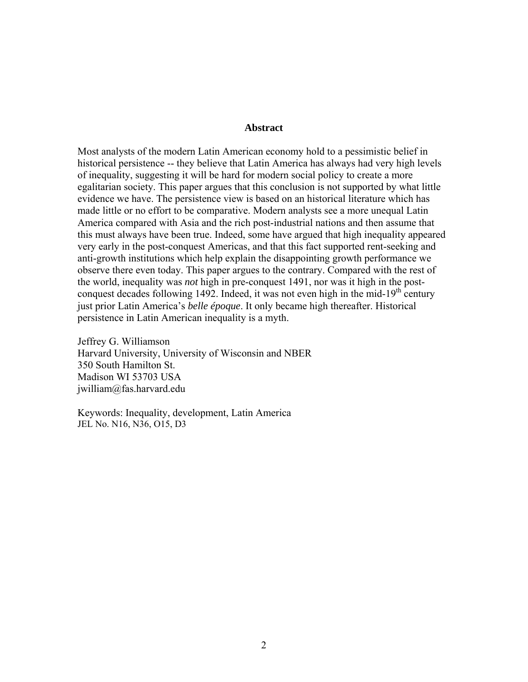# **Abstract**

Most analysts of the modern Latin American economy hold to a pessimistic belief in historical persistence -- they believe that Latin America has always had very high levels of inequality, suggesting it will be hard for modern social policy to create a more egalitarian society. This paper argues that this conclusion is not supported by what little evidence we have. The persistence view is based on an historical literature which has made little or no effort to be comparative. Modern analysts see a more unequal Latin America compared with Asia and the rich post-industrial nations and then assume that this must always have been true. Indeed, some have argued that high inequality appeared very early in the post-conquest Americas, and that this fact supported rent-seeking and anti-growth institutions which help explain the disappointing growth performance we observe there even today. This paper argues to the contrary. Compared with the rest of the world, inequality was *not* high in pre-conquest 1491, nor was it high in the postconquest decades following 1492. Indeed, it was not even high in the mid-19<sup>th</sup> century just prior Latin America's *belle époque*. It only became high thereafter. Historical persistence in Latin American inequality is a myth.

Jeffrey G. Williamson Harvard University, University of Wisconsin and NBER 350 South Hamilton St. Madison WI 53703 USA jwilliam@fas.harvard.edu

Keywords: Inequality, development, Latin America JEL No. N16, N36, O15, D3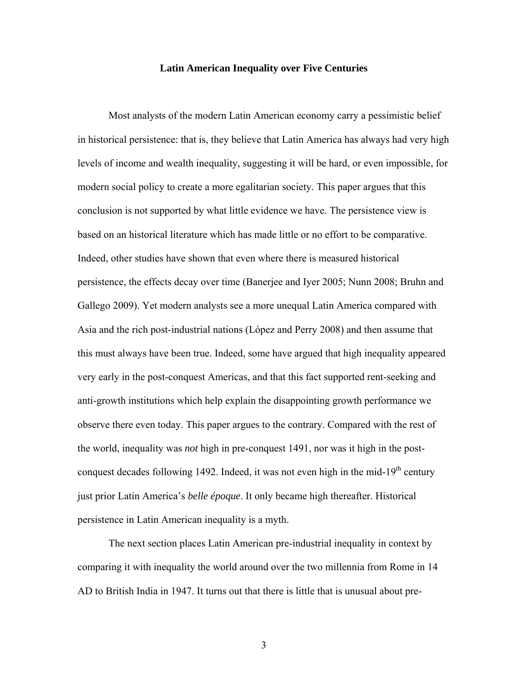# **Latin American Inequality over Five Centuries**

Most analysts of the modern Latin American economy carry a pessimistic belief in historical persistence: that is, they believe that Latin America has always had very high levels of income and wealth inequality, suggesting it will be hard, or even impossible, for modern social policy to create a more egalitarian society. This paper argues that this conclusion is not supported by what little evidence we have. The persistence view is based on an historical literature which has made little or no effort to be comparative. Indeed, other studies have shown that even where there is measured historical persistence, the effects decay over time (Banerjee and Iyer 2005; Nunn 2008; Bruhn and Gallego 2009). Yet modern analysts see a more unequal Latin America compared with Asia and the rich post-industrial nations (López and Perry 2008) and then assume that this must always have been true. Indeed, some have argued that high inequality appeared very early in the post-conquest Americas, and that this fact supported rent-seeking and anti-growth institutions which help explain the disappointing growth performance we observe there even today. This paper argues to the contrary. Compared with the rest of the world, inequality was *not* high in pre-conquest 1491, nor was it high in the postconquest decades following 1492. Indeed, it was not even high in the mid-19<sup>th</sup> century just prior Latin America's *belle époque*. It only became high thereafter. Historical persistence in Latin American inequality is a myth.

The next section places Latin American pre-industrial inequality in context by comparing it with inequality the world around over the two millennia from Rome in 14 AD to British India in 1947. It turns out that there is little that is unusual about pre-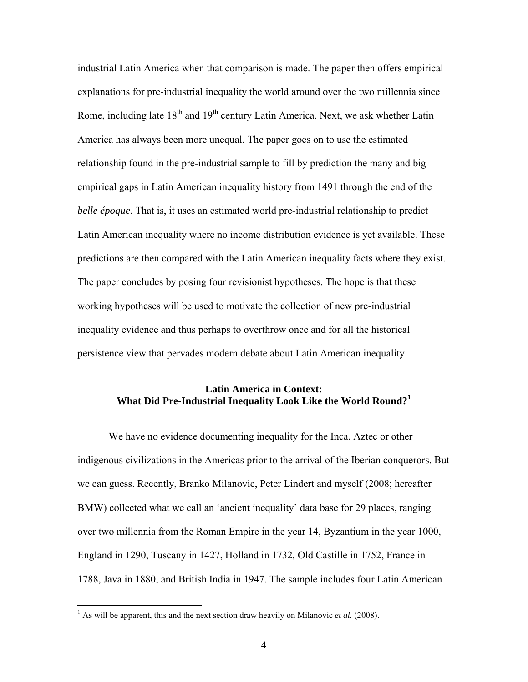industrial Latin America when that comparison is made. The paper then offers empirical explanations for pre-industrial inequality the world around over the two millennia since Rome, including late  $18<sup>th</sup>$  and  $19<sup>th</sup>$  century Latin America. Next, we ask whether Latin America has always been more unequal. The paper goes on to use the estimated relationship found in the pre-industrial sample to fill by prediction the many and big empirical gaps in Latin American inequality history from 1491 through the end of the *belle époque*. That is, it uses an estimated world pre-industrial relationship to predict Latin American inequality where no income distribution evidence is yet available. These predictions are then compared with the Latin American inequality facts where they exist. The paper concludes by posing four revisionist hypotheses. The hope is that these working hypotheses will be used to motivate the collection of new pre-industrial inequality evidence and thus perhaps to overthrow once and for all the historical persistence view that pervades modern debate about Latin American inequality.

# **Latin America in Context: What Did Pre-Industrial Inequality Look Like the World Round?<sup>1</sup>**

We have no evidence documenting inequality for the Inca, Aztec or other indigenous civilizations in the Americas prior to the arrival of the Iberian conquerors. But we can guess. Recently, Branko Milanovic, Peter Lindert and myself (2008; hereafter BMW) collected what we call an 'ancient inequality' data base for 29 places, ranging over two millennia from the Roman Empire in the year 14, Byzantium in the year 1000, England in 1290, Tuscany in 1427, Holland in 1732, Old Castille in 1752, France in 1788, Java in 1880, and British India in 1947. The sample includes four Latin American

<sup>&</sup>lt;sup>1</sup> As will be apparent, this and the next section draw heavily on Milanovic *et al.* (2008).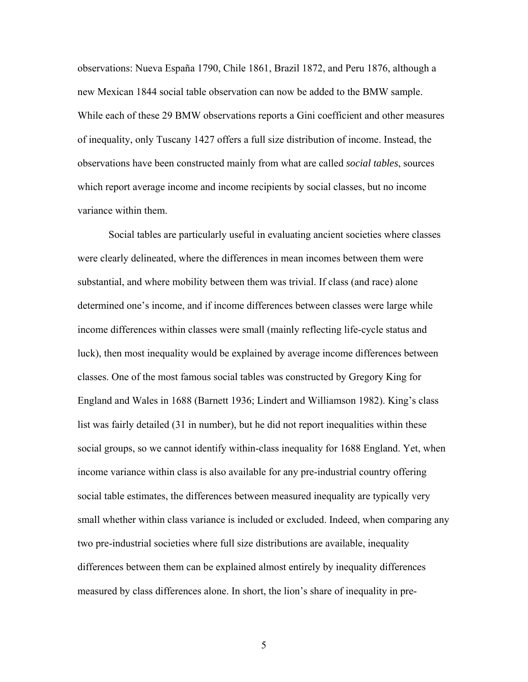observations: Nueva España 1790, Chile 1861, Brazil 1872, and Peru 1876, although a new Mexican 1844 social table observation can now be added to the BMW sample. While each of these 29 BMW observations reports a Gini coefficient and other measures of inequality, only Tuscany 1427 offers a full size distribution of income. Instead, the observations have been constructed mainly from what are called *social tables*, sources which report average income and income recipients by social classes, but no income variance within them.

Social tables are particularly useful in evaluating ancient societies where classes were clearly delineated, where the differences in mean incomes between them were substantial, and where mobility between them was trivial. If class (and race) alone determined one's income, and if income differences between classes were large while income differences within classes were small (mainly reflecting life-cycle status and luck), then most inequality would be explained by average income differences between classes. One of the most famous social tables was constructed by Gregory King for England and Wales in 1688 (Barnett 1936; Lindert and Williamson 1982). King's class list was fairly detailed (31 in number), but he did not report inequalities within these social groups, so we cannot identify within-class inequality for 1688 England. Yet, when income variance within class is also available for any pre-industrial country offering social table estimates, the differences between measured inequality are typically very small whether within class variance is included or excluded. Indeed, when comparing any two pre-industrial societies where full size distributions are available, inequality differences between them can be explained almost entirely by inequality differences measured by class differences alone. In short, the lion's share of inequality in pre-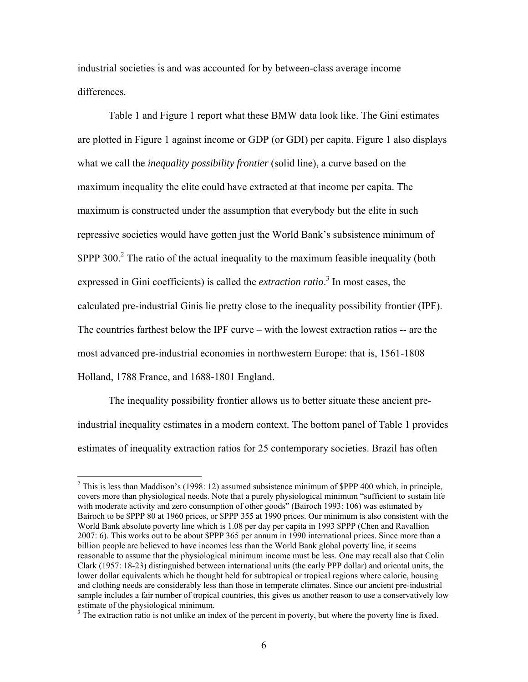industrial societies is and was accounted for by between-class average income differences.

Table 1 and Figure 1 report what these BMW data look like. The Gini estimates are plotted in Figure 1 against income or GDP (or GDI) per capita. Figure 1 also displays what we call the *inequality possibility frontier* (solid line), a curve based on the maximum inequality the elite could have extracted at that income per capita. The maximum is constructed under the assumption that everybody but the elite in such repressive societies would have gotten just the World Bank's subsistence minimum of  $$PPP~300.<sup>2</sup>$  The ratio of the actual inequality to the maximum feasible inequality (both expressed in Gini coefficients) is called the *extraction ratio*. 3 In most cases, the calculated pre-industrial Ginis lie pretty close to the inequality possibility frontier (IPF). The countries farthest below the IPF curve – with the lowest extraction ratios -- are the most advanced pre-industrial economies in northwestern Europe: that is, 1561-1808 Holland, 1788 France, and 1688-1801 England.

The inequality possibility frontier allows us to better situate these ancient preindustrial inequality estimates in a modern context. The bottom panel of Table 1 provides estimates of inequality extraction ratios for 25 contemporary societies. Brazil has often

 $2$  This is less than Maddison's (1998: 12) assumed subsistence minimum of \$PPP 400 which, in principle, covers more than physiological needs. Note that a purely physiological minimum "sufficient to sustain life with moderate activity and zero consumption of other goods" (Bairoch 1993: 106) was estimated by Bairoch to be \$PPP 80 at 1960 prices, or \$PPP 355 at 1990 prices. Our minimum is also consistent with the World Bank absolute poverty line which is 1.08 per day per capita in 1993 \$PPP (Chen and Ravallion 2007: 6). This works out to be about \$PPP 365 per annum in 1990 international prices. Since more than a billion people are believed to have incomes less than the World Bank global poverty line, it seems reasonable to assume that the physiological minimum income must be less. One may recall also that Colin Clark (1957: 18-23) distinguished between international units (the early PPP dollar) and oriental units, the lower dollar equivalents which he thought held for subtropical or tropical regions where calorie, housing and clothing needs are considerably less than those in temperate climates. Since our ancient pre-industrial sample includes a fair number of tropical countries, this gives us another reason to use a conservatively low estimate of the physiological minimum.

<sup>&</sup>lt;sup>3</sup> The extraction ratio is not unlike an index of the percent in poverty, but where the poverty line is fixed.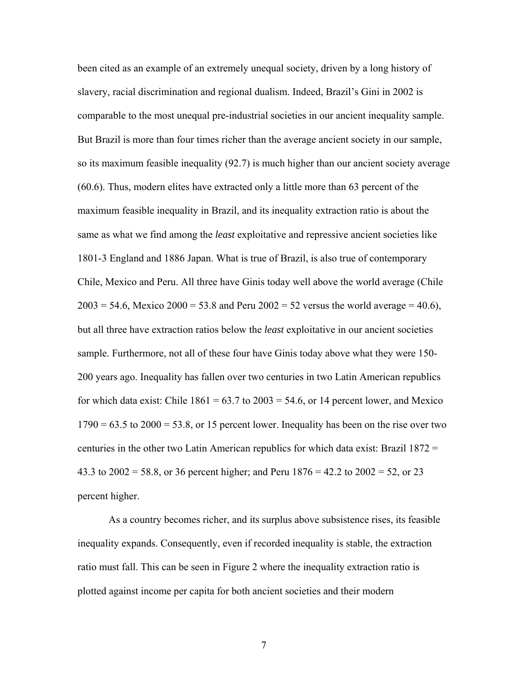been cited as an example of an extremely unequal society, driven by a long history of slavery, racial discrimination and regional dualism. Indeed, Brazil's Gini in 2002 is comparable to the most unequal pre-industrial societies in our ancient inequality sample. But Brazil is more than four times richer than the average ancient society in our sample, so its maximum feasible inequality (92.7) is much higher than our ancient society average (60.6). Thus, modern elites have extracted only a little more than 63 percent of the maximum feasible inequality in Brazil, and its inequality extraction ratio is about the same as what we find among the *least* exploitative and repressive ancient societies like 1801-3 England and 1886 Japan. What is true of Brazil, is also true of contemporary Chile, Mexico and Peru. All three have Ginis today well above the world average (Chile  $2003 = 54.6$ , Mexico  $2000 = 53.8$  and Peru  $2002 = 52$  versus the world average = 40.6), but all three have extraction ratios below the *least* exploitative in our ancient societies sample. Furthermore, not all of these four have Ginis today above what they were 150- 200 years ago. Inequality has fallen over two centuries in two Latin American republics for which data exist: Chile  $1861 = 63.7$  to  $2003 = 54.6$ , or 14 percent lower, and Mexico  $1790 = 63.5$  to  $2000 = 53.8$ , or 15 percent lower. Inequality has been on the rise over two centuries in the other two Latin American republics for which data exist: Brazil 1872 = 43.3 to 2002 = 58.8, or 36 percent higher; and Peru 1876 = 42.2 to 2002 = 52, or 23 percent higher.

As a country becomes richer, and its surplus above subsistence rises, its feasible inequality expands. Consequently, even if recorded inequality is stable, the extraction ratio must fall. This can be seen in Figure 2 where the inequality extraction ratio is plotted against income per capita for both ancient societies and their modern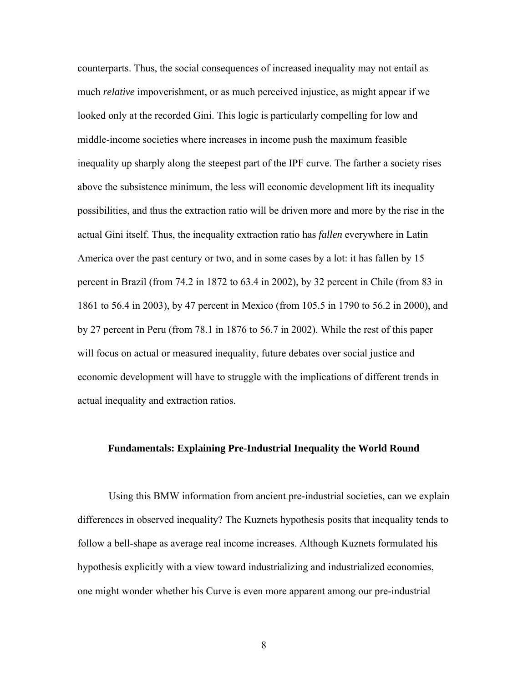counterparts. Thus, the social consequences of increased inequality may not entail as much *relative* impoverishment, or as much perceived injustice, as might appear if we looked only at the recorded Gini. This logic is particularly compelling for low and middle-income societies where increases in income push the maximum feasible inequality up sharply along the steepest part of the IPF curve. The farther a society rises above the subsistence minimum, the less will economic development lift its inequality possibilities, and thus the extraction ratio will be driven more and more by the rise in the actual Gini itself. Thus, the inequality extraction ratio has *fallen* everywhere in Latin America over the past century or two, and in some cases by a lot: it has fallen by 15 percent in Brazil (from 74.2 in 1872 to 63.4 in 2002), by 32 percent in Chile (from 83 in 1861 to 56.4 in 2003), by 47 percent in Mexico (from 105.5 in 1790 to 56.2 in 2000), and by 27 percent in Peru (from 78.1 in 1876 to 56.7 in 2002). While the rest of this paper will focus on actual or measured inequality, future debates over social justice and economic development will have to struggle with the implications of different trends in actual inequality and extraction ratios.

## **Fundamentals: Explaining Pre-Industrial Inequality the World Round**

Using this BMW information from ancient pre-industrial societies, can we explain differences in observed inequality? The Kuznets hypothesis posits that inequality tends to follow a bell-shape as average real income increases. Although Kuznets formulated his hypothesis explicitly with a view toward industrializing and industrialized economies, one might wonder whether his Curve is even more apparent among our pre-industrial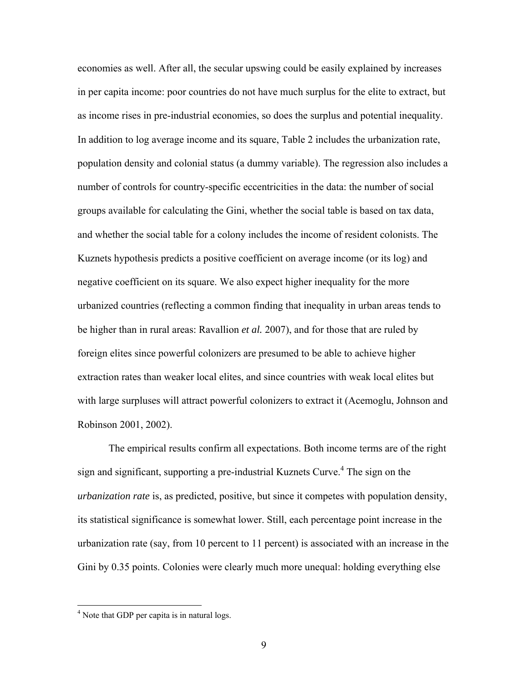economies as well. After all, the secular upswing could be easily explained by increases in per capita income: poor countries do not have much surplus for the elite to extract, but as income rises in pre-industrial economies, so does the surplus and potential inequality. In addition to log average income and its square, Table 2 includes the urbanization rate, population density and colonial status (a dummy variable). The regression also includes a number of controls for country-specific eccentricities in the data: the number of social groups available for calculating the Gini, whether the social table is based on tax data, and whether the social table for a colony includes the income of resident colonists. The Kuznets hypothesis predicts a positive coefficient on average income (or its log) and negative coefficient on its square. We also expect higher inequality for the more urbanized countries (reflecting a common finding that inequality in urban areas tends to be higher than in rural areas: Ravallion *et al.* 2007), and for those that are ruled by foreign elites since powerful colonizers are presumed to be able to achieve higher extraction rates than weaker local elites, and since countries with weak local elites but with large surpluses will attract powerful colonizers to extract it (Acemoglu, Johnson and Robinson 2001, 2002).

The empirical results confirm all expectations. Both income terms are of the right sign and significant, supporting a pre-industrial Kuznets Curve.<sup>4</sup> The sign on the *urbanization rate* is, as predicted, positive, but since it competes with population density, its statistical significance is somewhat lower. Still, each percentage point increase in the urbanization rate (say, from 10 percent to 11 percent) is associated with an increase in the Gini by 0.35 points. Colonies were clearly much more unequal: holding everything else

<sup>&</sup>lt;sup>4</sup> Note that GDP per capita is in natural logs.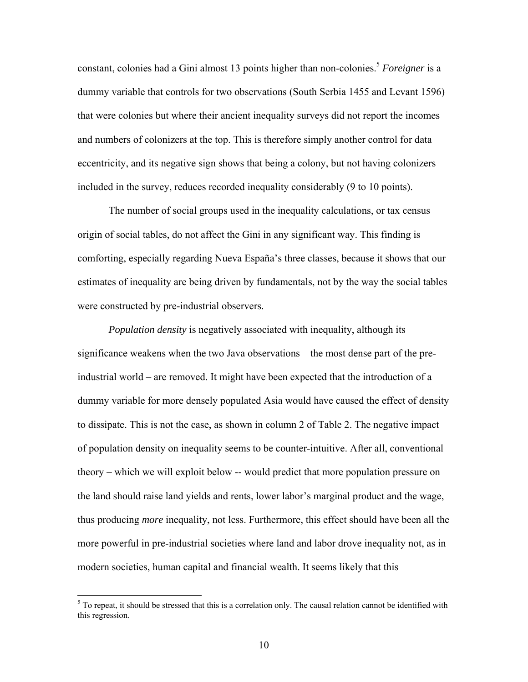constant, colonies had a Gini almost 13 points higher than non-colonies.<sup>5</sup> *Foreigner* is a dummy variable that controls for two observations (South Serbia 1455 and Levant 1596) that were colonies but where their ancient inequality surveys did not report the incomes and numbers of colonizers at the top. This is therefore simply another control for data eccentricity, and its negative sign shows that being a colony, but not having colonizers included in the survey, reduces recorded inequality considerably (9 to 10 points).

The number of social groups used in the inequality calculations, or tax census origin of social tables, do not affect the Gini in any significant way. This finding is comforting, especially regarding Nueva España's three classes, because it shows that our estimates of inequality are being driven by fundamentals, not by the way the social tables were constructed by pre-industrial observers.

*Population density* is negatively associated with inequality, although its significance weakens when the two Java observations – the most dense part of the preindustrial world – are removed. It might have been expected that the introduction of a dummy variable for more densely populated Asia would have caused the effect of density to dissipate. This is not the case, as shown in column 2 of Table 2. The negative impact of population density on inequality seems to be counter-intuitive. After all, conventional theory – which we will exploit below -- would predict that more population pressure on the land should raise land yields and rents, lower labor's marginal product and the wage, thus producing *more* inequality, not less. Furthermore, this effect should have been all the more powerful in pre-industrial societies where land and labor drove inequality not, as in modern societies, human capital and financial wealth. It seems likely that this

 $<sup>5</sup>$  To repeat, it should be stressed that this is a correlation only. The causal relation cannot be identified with</sup> this regression.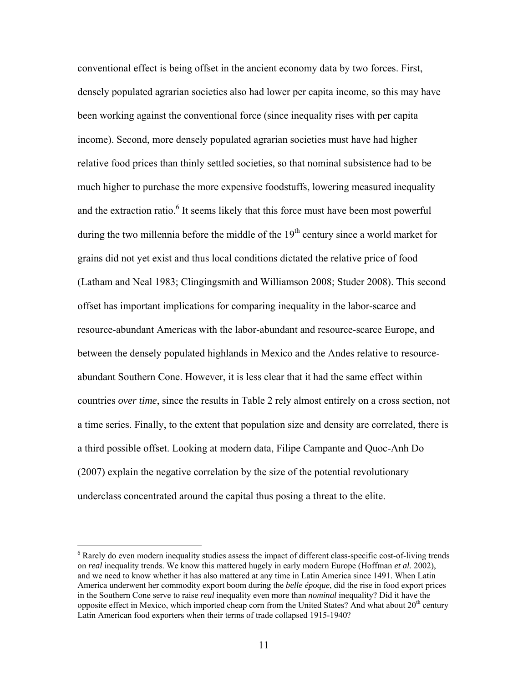conventional effect is being offset in the ancient economy data by two forces. First, densely populated agrarian societies also had lower per capita income, so this may have been working against the conventional force (since inequality rises with per capita income). Second, more densely populated agrarian societies must have had higher relative food prices than thinly settled societies, so that nominal subsistence had to be much higher to purchase the more expensive foodstuffs, lowering measured inequality and the extraction ratio.<sup>6</sup> It seems likely that this force must have been most powerful during the two millennia before the middle of the  $19<sup>th</sup>$  century since a world market for grains did not yet exist and thus local conditions dictated the relative price of food (Latham and Neal 1983; Clingingsmith and Williamson 2008; Studer 2008). This second offset has important implications for comparing inequality in the labor-scarce and resource-abundant Americas with the labor-abundant and resource-scarce Europe, and between the densely populated highlands in Mexico and the Andes relative to resourceabundant Southern Cone. However, it is less clear that it had the same effect within countries *over time*, since the results in Table 2 rely almost entirely on a cross section, not a time series. Finally, to the extent that population size and density are correlated, there is a third possible offset. Looking at modern data, Filipe Campante and Quoc-Anh Do (2007) explain the negative correlation by the size of the potential revolutionary underclass concentrated around the capital thus posing a threat to the elite.

<sup>&</sup>lt;sup>6</sup> Rarely do even modern inequality studies assess the impact of different class-specific cost-of-living trends on *real* inequality trends. We know this mattered hugely in early modern Europe (Hoffman *et al.* 2002), and we need to know whether it has also mattered at any time in Latin America since 1491. When Latin America underwent her commodity export boom during the *belle époque*, did the rise in food export prices in the Southern Cone serve to raise *real* inequality even more than *nominal* inequality? Did it have the opposite effect in Mexico, which imported cheap corn from the United States? And what about  $20<sup>th</sup>$  century Latin American food exporters when their terms of trade collapsed 1915-1940?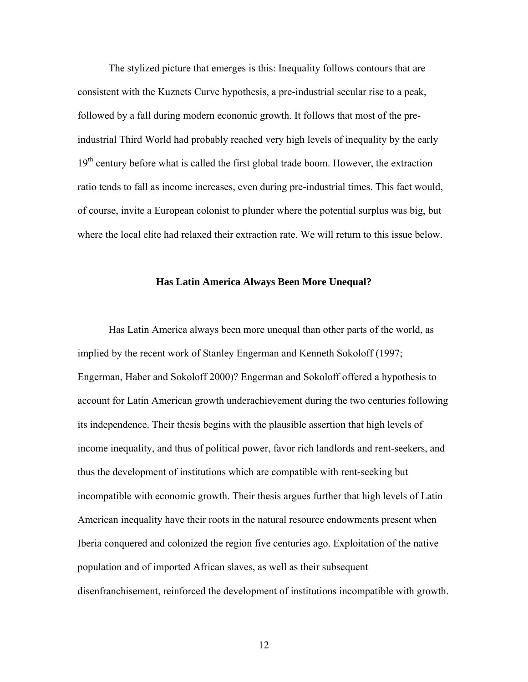The stylized picture that emerges is this: Inequality follows contours that are consistent with the Kuznets Curve hypothesis, a pre-industrial secular rise to a peak, followed by a fall during modern economic growth. It follows that most of the preindustrial Third World had probably reached very high levels of inequality by the early  $19<sup>th</sup>$  century before what is called the first global trade boom. However, the extraction ratio tends to fall as income increases, even during pre-industrial times. This fact would, of course, invite a European colonist to plunder where the potential surplus was big, but where the local elite had relaxed their extraction rate. We will return to this issue below.

## **Has Latin America Always Been More Unequal?**

Has Latin America always been more unequal than other parts of the world, as implied by the recent work of Stanley Engerman and Kenneth Sokoloff (1997; Engerman, Haber and Sokoloff 2000)? Engerman and Sokoloff offered a hypothesis to account for Latin American growth underachievement during the two centuries following its independence. Their thesis begins with the plausible assertion that high levels of income inequality, and thus of political power, favor rich landlords and rent-seekers, and thus the development of institutions which are compatible with rent-seeking but incompatible with economic growth. Their thesis argues further that high levels of Latin American inequality have their roots in the natural resource endowments present when Iberia conquered and colonized the region five centuries ago. Exploitation of the native population and of imported African slaves, as well as their subsequent disenfranchisement, reinforced the development of institutions incompatible with growth.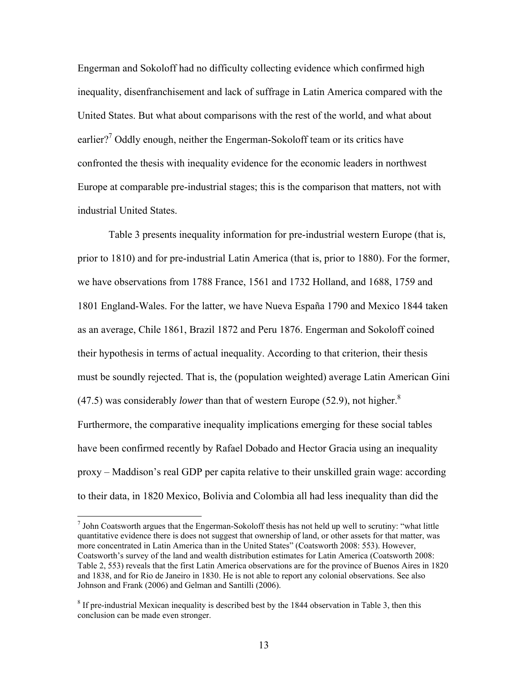Engerman and Sokoloff had no difficulty collecting evidence which confirmed high inequality, disenfranchisement and lack of suffrage in Latin America compared with the United States. But what about comparisons with the rest of the world, and what about earlier?<sup>7</sup> Oddly enough, neither the Engerman-Sokoloff team or its critics have confronted the thesis with inequality evidence for the economic leaders in northwest Europe at comparable pre-industrial stages; this is the comparison that matters, not with industrial United States.

Table 3 presents inequality information for pre-industrial western Europe (that is, prior to 1810) and for pre-industrial Latin America (that is, prior to 1880). For the former, we have observations from 1788 France, 1561 and 1732 Holland, and 1688, 1759 and 1801 England-Wales. For the latter, we have Nueva España 1790 and Mexico 1844 taken as an average, Chile 1861, Brazil 1872 and Peru 1876. Engerman and Sokoloff coined their hypothesis in terms of actual inequality. According to that criterion, their thesis must be soundly rejected. That is, the (population weighted) average Latin American Gini  $(47.5)$  was considerably *lower* than that of western Europe (52.9), not higher.<sup>8</sup> Furthermore, the comparative inequality implications emerging for these social tables have been confirmed recently by Rafael Dobado and Hector Gracia using an inequality proxy – Maddison's real GDP per capita relative to their unskilled grain wage: according to their data, in 1820 Mexico, Bolivia and Colombia all had less inequality than did the

 $<sup>7</sup>$  John Coatsworth argues that the Engerman-Sokoloff thesis has not held up well to scrutiny: "what little</sup> quantitative evidence there is does not suggest that ownership of land, or other assets for that matter, was more concentrated in Latin America than in the United States" (Coatsworth 2008: 553). However, Coatsworth's survey of the land and wealth distribution estimates for Latin America (Coatsworth 2008: Table 2, 553) reveals that the first Latin America observations are for the province of Buenos Aires in 1820 and 1838, and for Rio de Janeiro in 1830. He is not able to report any colonial observations. See also Johnson and Frank (2006) and Gelman and Santilli (2006).

 $8$  If pre-industrial Mexican inequality is described best by the 1844 observation in Table 3, then this conclusion can be made even stronger.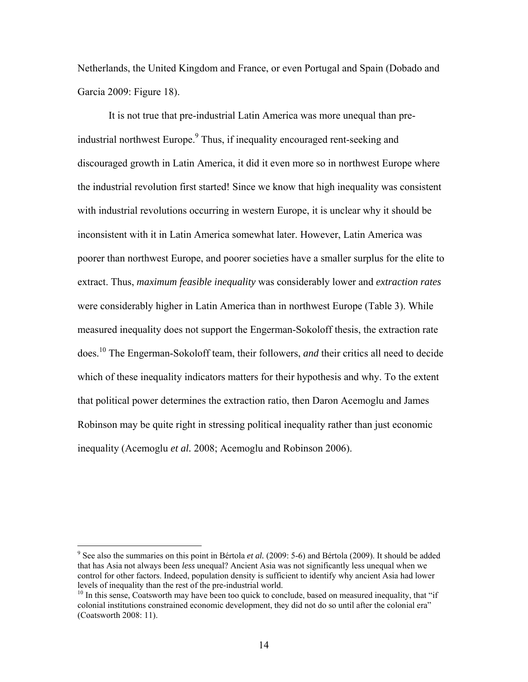Netherlands, the United Kingdom and France, or even Portugal and Spain (Dobado and Garcia 2009: Figure 18).

It is not true that pre-industrial Latin America was more unequal than preindustrial northwest Europe.<sup>9</sup> Thus, if inequality encouraged rent-seeking and discouraged growth in Latin America, it did it even more so in northwest Europe where the industrial revolution first started! Since we know that high inequality was consistent with industrial revolutions occurring in western Europe, it is unclear why it should be inconsistent with it in Latin America somewhat later. However, Latin America was poorer than northwest Europe, and poorer societies have a smaller surplus for the elite to extract. Thus, *maximum feasible inequality* was considerably lower and *extraction rates* were considerably higher in Latin America than in northwest Europe (Table 3). While measured inequality does not support the Engerman-Sokoloff thesis, the extraction rate does.10 The Engerman-Sokoloff team, their followers, *and* their critics all need to decide which of these inequality indicators matters for their hypothesis and why. To the extent that political power determines the extraction ratio, then Daron Acemoglu and James Robinson may be quite right in stressing political inequality rather than just economic inequality (Acemoglu *et al.* 2008; Acemoglu and Robinson 2006).

<sup>&</sup>lt;sup>9</sup> See also the summaries on this point in Bértola *et al.* (2009: 5-6) and Bértola (2009). It should be added that has Asia not always been *less* unequal? Ancient Asia was not significantly less unequal when we control for other factors. Indeed, population density is sufficient to identify why ancient Asia had lower levels of inequality than the rest of the pre-industrial world.

 $10$  In this sense, Coatsworth may have been too quick to conclude, based on measured inequality, that "if" colonial institutions constrained economic development, they did not do so until after the colonial era" (Coatsworth 2008: 11).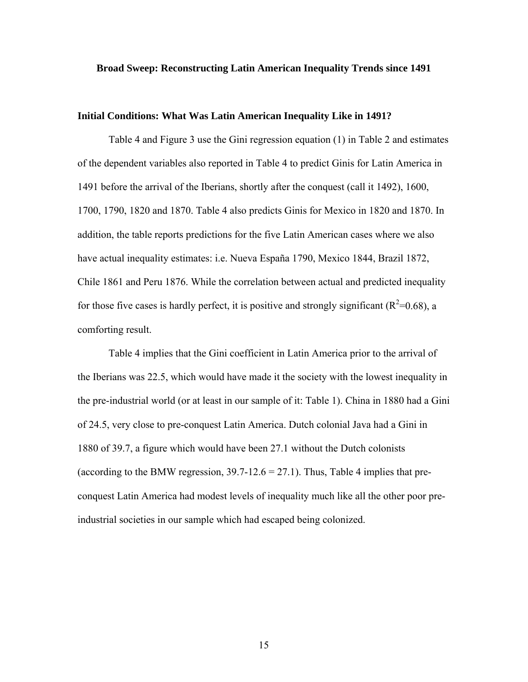## **Broad Sweep: Reconstructing Latin American Inequality Trends since 1491**

# **Initial Conditions: What Was Latin American Inequality Like in 1491?**

Table 4 and Figure 3 use the Gini regression equation (1) in Table 2 and estimates of the dependent variables also reported in Table 4 to predict Ginis for Latin America in 1491 before the arrival of the Iberians, shortly after the conquest (call it 1492), 1600, 1700, 1790, 1820 and 1870. Table 4 also predicts Ginis for Mexico in 1820 and 1870. In addition, the table reports predictions for the five Latin American cases where we also have actual inequality estimates: i.e. Nueva España 1790, Mexico 1844, Brazil 1872, Chile 1861 and Peru 1876. While the correlation between actual and predicted inequality for those five cases is hardly perfect, it is positive and strongly significant ( $R^2$ =0.68), a comforting result.

Table 4 implies that the Gini coefficient in Latin America prior to the arrival of the Iberians was 22.5, which would have made it the society with the lowest inequality in the pre-industrial world (or at least in our sample of it: Table 1). China in 1880 had a Gini of 24.5, very close to pre-conquest Latin America. Dutch colonial Java had a Gini in 1880 of 39.7, a figure which would have been 27.1 without the Dutch colonists (according to the BMW regression,  $39.7 - 12.6 = 27.1$ ). Thus, Table 4 implies that preconquest Latin America had modest levels of inequality much like all the other poor preindustrial societies in our sample which had escaped being colonized.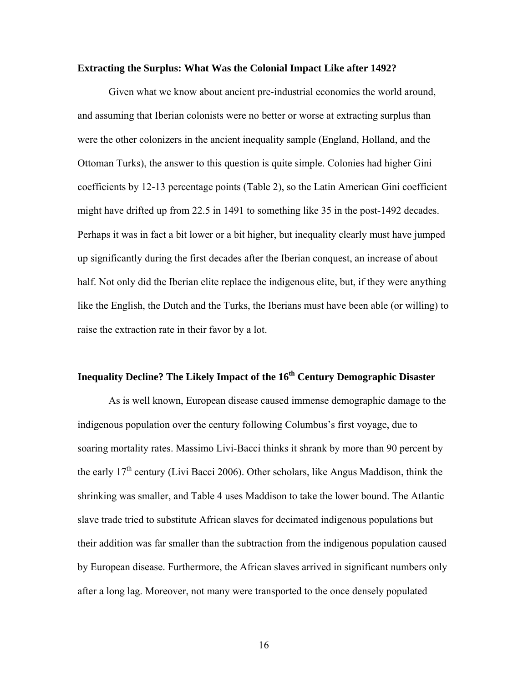## **Extracting the Surplus: What Was the Colonial Impact Like after 1492?**

Given what we know about ancient pre-industrial economies the world around, and assuming that Iberian colonists were no better or worse at extracting surplus than were the other colonizers in the ancient inequality sample (England, Holland, and the Ottoman Turks), the answer to this question is quite simple. Colonies had higher Gini coefficients by 12-13 percentage points (Table 2), so the Latin American Gini coefficient might have drifted up from 22.5 in 1491 to something like 35 in the post-1492 decades. Perhaps it was in fact a bit lower or a bit higher, but inequality clearly must have jumped up significantly during the first decades after the Iberian conquest, an increase of about half. Not only did the Iberian elite replace the indigenous elite, but, if they were anything like the English, the Dutch and the Turks, the Iberians must have been able (or willing) to raise the extraction rate in their favor by a lot.

# **Inequality Decline? The Likely Impact of the 16<sup>th</sup> Century Demographic Disaster**

As is well known, European disease caused immense demographic damage to the indigenous population over the century following Columbus's first voyage, due to soaring mortality rates. Massimo Livi-Bacci thinks it shrank by more than 90 percent by the early  $17<sup>th</sup>$  century (Livi Bacci 2006). Other scholars, like Angus Maddison, think the shrinking was smaller, and Table 4 uses Maddison to take the lower bound. The Atlantic slave trade tried to substitute African slaves for decimated indigenous populations but their addition was far smaller than the subtraction from the indigenous population caused by European disease. Furthermore, the African slaves arrived in significant numbers only after a long lag. Moreover, not many were transported to the once densely populated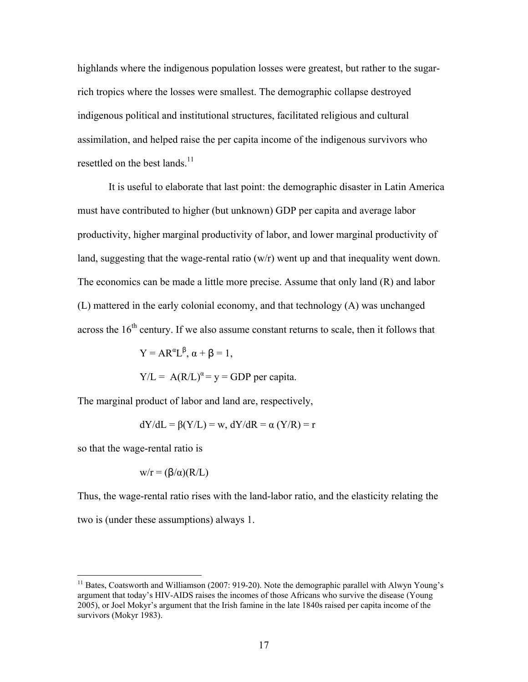highlands where the indigenous population losses were greatest, but rather to the sugarrich tropics where the losses were smallest. The demographic collapse destroyed indigenous political and institutional structures, facilitated religious and cultural assimilation, and helped raise the per capita income of the indigenous survivors who resettled on the best lands.<sup>11</sup>

It is useful to elaborate that last point: the demographic disaster in Latin America must have contributed to higher (but unknown) GDP per capita and average labor productivity, higher marginal productivity of labor, and lower marginal productivity of land, suggesting that the wage-rental ratio (w/r) went up and that inequality went down. The economics can be made a little more precise. Assume that only land (R) and labor (L) mattered in the early colonial economy, and that technology (A) was unchanged across the  $16<sup>th</sup>$  century. If we also assume constant returns to scale, then it follows that

$$
Y = AR^{\alpha}L^{\beta}, \alpha + \beta = 1,
$$

 $Y/L = A(R/L)^{\alpha} = y = GDP$  per capita.

The marginal product of labor and land are, respectively,

$$
dY/dL = \beta(Y/L) = w, dY/dR = \alpha (Y/R) = r
$$

so that the wage-rental ratio is

 $\overline{a}$ 

$$
w/r = (\beta/\alpha)(R/L)
$$

Thus, the wage-rental ratio rises with the land-labor ratio, and the elasticity relating the two is (under these assumptions) always 1.

<sup>&</sup>lt;sup>11</sup> Bates, Coatsworth and Williamson (2007: 919-20). Note the demographic parallel with Alwyn Young's argument that today's HIV-AIDS raises the incomes of those Africans who survive the disease (Young 2005), or Joel Mokyr's argument that the Irish famine in the late 1840s raised per capita income of the survivors (Mokyr 1983).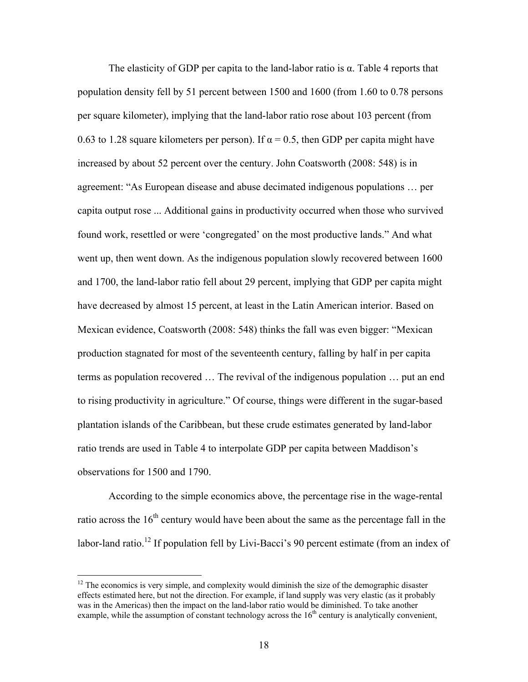The elasticity of GDP per capita to the land-labor ratio is  $\alpha$ . Table 4 reports that population density fell by 51 percent between 1500 and 1600 (from 1.60 to 0.78 persons per square kilometer), implying that the land-labor ratio rose about 103 percent (from 0.63 to 1.28 square kilometers per person). If  $\alpha = 0.5$ , then GDP per capita might have increased by about 52 percent over the century. John Coatsworth (2008: 548) is in agreement: "As European disease and abuse decimated indigenous populations … per capita output rose ... Additional gains in productivity occurred when those who survived found work, resettled or were 'congregated' on the most productive lands." And what went up, then went down. As the indigenous population slowly recovered between 1600 and 1700, the land-labor ratio fell about 29 percent, implying that GDP per capita might have decreased by almost 15 percent, at least in the Latin American interior. Based on Mexican evidence, Coatsworth (2008: 548) thinks the fall was even bigger: "Mexican production stagnated for most of the seventeenth century, falling by half in per capita terms as population recovered … The revival of the indigenous population … put an end to rising productivity in agriculture." Of course, things were different in the sugar-based plantation islands of the Caribbean, but these crude estimates generated by land-labor ratio trends are used in Table 4 to interpolate GDP per capita between Maddison's observations for 1500 and 1790.

According to the simple economics above, the percentage rise in the wage-rental ratio across the  $16<sup>th</sup>$  century would have been about the same as the percentage fall in the labor-land ratio.<sup>12</sup> If population fell by Livi-Bacci's 90 percent estimate (from an index of

 $12$  The economics is very simple, and complexity would diminish the size of the demographic disaster effects estimated here, but not the direction. For example, if land supply was very elastic (as it probably was in the Americas) then the impact on the land-labor ratio would be diminished. To take another example, while the assumption of constant technology across the  $16<sup>th</sup>$  century is analytically convenient,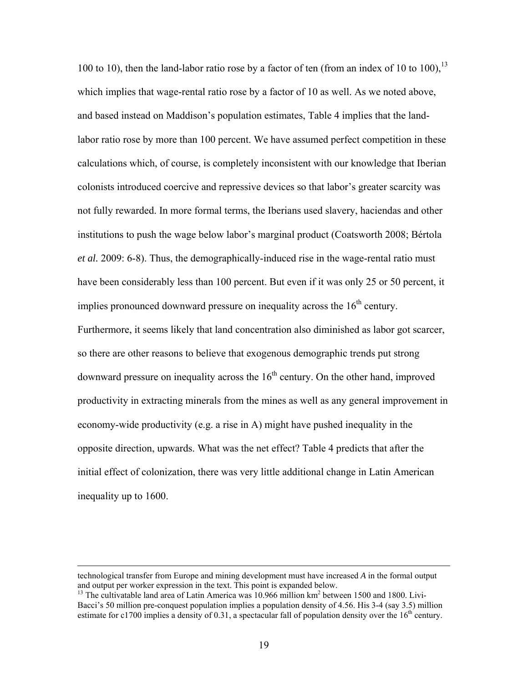100 to 10), then the land-labor ratio rose by a factor of ten (from an index of 10 to 100),  $^{13}$ which implies that wage-rental ratio rose by a factor of 10 as well. As we noted above, and based instead on Maddison's population estimates, Table 4 implies that the landlabor ratio rose by more than 100 percent. We have assumed perfect competition in these calculations which, of course, is completely inconsistent with our knowledge that Iberian colonists introduced coercive and repressive devices so that labor's greater scarcity was not fully rewarded. In more formal terms, the Iberians used slavery, haciendas and other institutions to push the wage below labor's marginal product (Coatsworth 2008; Bértola *et al.* 2009: 6-8). Thus, the demographically-induced rise in the wage-rental ratio must have been considerably less than 100 percent. But even if it was only 25 or 50 percent, it implies pronounced downward pressure on inequality across the  $16<sup>th</sup>$  century. Furthermore, it seems likely that land concentration also diminished as labor got scarcer, so there are other reasons to believe that exogenous demographic trends put strong downward pressure on inequality across the  $16<sup>th</sup>$  century. On the other hand, improved productivity in extracting minerals from the mines as well as any general improvement in economy-wide productivity (e.g. a rise in A) might have pushed inequality in the opposite direction, upwards. What was the net effect? Table 4 predicts that after the initial effect of colonization, there was very little additional change in Latin American inequality up to 1600.

technological transfer from Europe and mining development must have increased *A* in the formal output and output per worker expression in the text. This point is expanded below.

<sup>&</sup>lt;sup>13</sup> The cultivatable land area of Latin America was 10.966 million km<sup>2</sup> between 1500 and 1800. Livi-Bacci's 50 million pre-conquest population implies a population density of 4.56. His 3-4 (say 3.5) million estimate for c1700 implies a density of 0.31, a spectacular fall of population density over the  $16<sup>th</sup>$  century.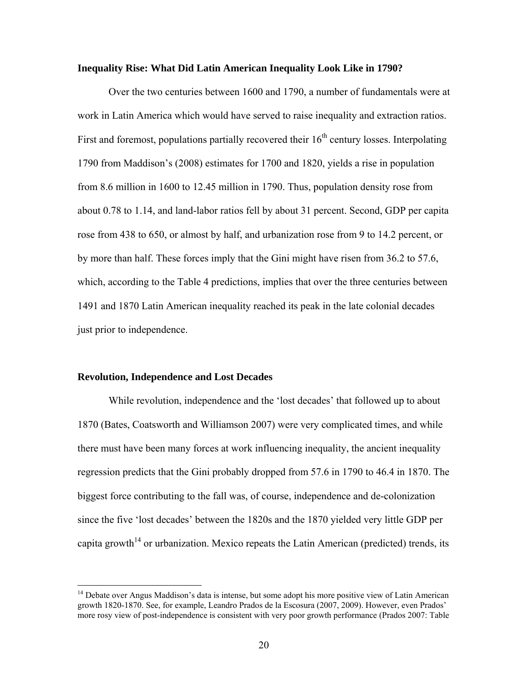### **Inequality Rise: What Did Latin American Inequality Look Like in 1790?**

Over the two centuries between 1600 and 1790, a number of fundamentals were at work in Latin America which would have served to raise inequality and extraction ratios. First and foremost, populations partially recovered their  $16<sup>th</sup>$  century losses. Interpolating 1790 from Maddison's (2008) estimates for 1700 and 1820, yields a rise in population from 8.6 million in 1600 to 12.45 million in 1790. Thus, population density rose from about 0.78 to 1.14, and land-labor ratios fell by about 31 percent. Second, GDP per capita rose from 438 to 650, or almost by half, and urbanization rose from 9 to 14.2 percent, or by more than half. These forces imply that the Gini might have risen from 36.2 to 57.6, which, according to the Table 4 predictions, implies that over the three centuries between 1491 and 1870 Latin American inequality reached its peak in the late colonial decades just prior to independence.

# **Revolution, Independence and Lost Decades**

 $\overline{a}$ 

 While revolution, independence and the 'lost decades' that followed up to about 1870 (Bates, Coatsworth and Williamson 2007) were very complicated times, and while there must have been many forces at work influencing inequality, the ancient inequality regression predicts that the Gini probably dropped from 57.6 in 1790 to 46.4 in 1870. The biggest force contributing to the fall was, of course, independence and de-colonization since the five 'lost decades' between the 1820s and the 1870 yielded very little GDP per capita growth<sup>14</sup> or urbanization. Mexico repeats the Latin American (predicted) trends, its

<sup>&</sup>lt;sup>14</sup> Debate over Angus Maddison's data is intense, but some adopt his more positive view of Latin American growth 1820-1870. See, for example, Leandro Prados de la Escosura (2007, 2009). However, even Prados' more rosy view of post-independence is consistent with very poor growth performance (Prados 2007: Table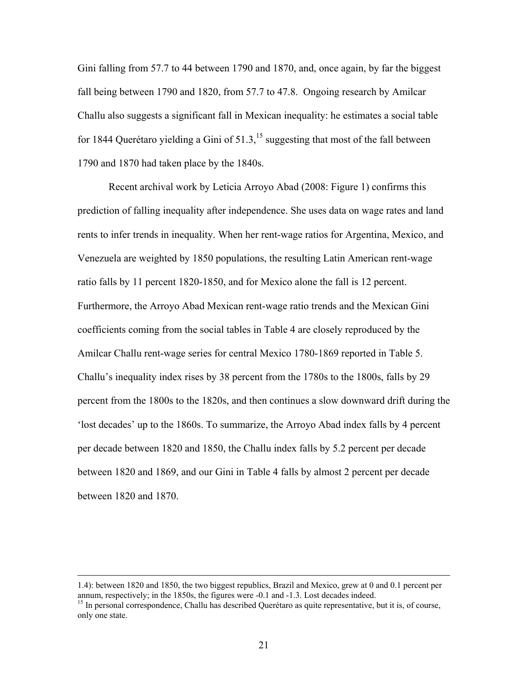Gini falling from 57.7 to 44 between 1790 and 1870, and, once again, by far the biggest fall being between 1790 and 1820, from 57.7 to 47.8. Ongoing research by Amilcar Challu also suggests a significant fall in Mexican inequality: he estimates a social table for 1844 Querétaro yielding a Gini of  $51.3$ ,<sup>15</sup> suggesting that most of the fall between 1790 and 1870 had taken place by the 1840s.

Recent archival work by Leticia Arroyo Abad (2008: Figure 1) confirms this prediction of falling inequality after independence. She uses data on wage rates and land rents to infer trends in inequality. When her rent-wage ratios for Argentina, Mexico, and Venezuela are weighted by 1850 populations, the resulting Latin American rent-wage ratio falls by 11 percent 1820-1850, and for Mexico alone the fall is 12 percent. Furthermore, the Arroyo Abad Mexican rent-wage ratio trends and the Mexican Gini coefficients coming from the social tables in Table 4 are closely reproduced by the Amilcar Challu rent-wage series for central Mexico 1780-1869 reported in Table 5. Challu's inequality index rises by 38 percent from the 1780s to the 1800s, falls by 29 percent from the 1800s to the 1820s, and then continues a slow downward drift during the 'lost decades' up to the 1860s. To summarize, the Arroyo Abad index falls by 4 percent per decade between 1820 and 1850, the Challu index falls by 5.2 percent per decade between 1820 and 1869, and our Gini in Table 4 falls by almost 2 percent per decade between 1820 and 1870.

 <sup>1.4):</sup> between 1820 and 1850, the two biggest republics, Brazil and Mexico, grew at 0 and 0.1 percent per annum, respectively; in the 1850s, the figures were -0.1 and -1.3. Lost decades indeed.<br><sup>15</sup> In personal correspondence, Challu has described Querétaro as quite representative, but it is, of course,

only one state.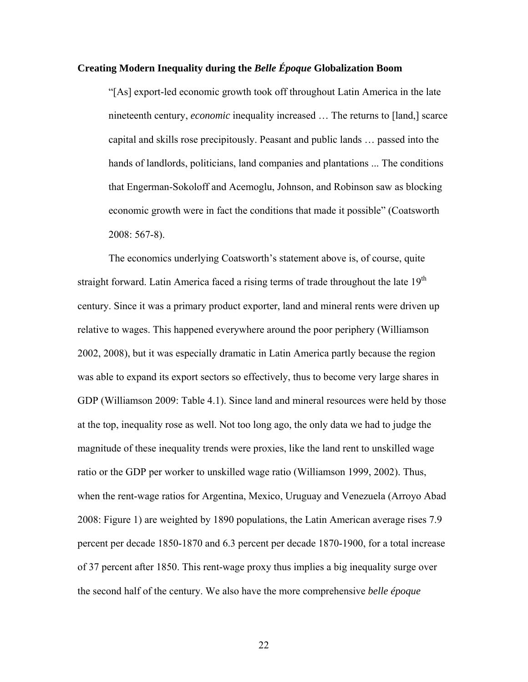# **Creating Modern Inequality during the** *Belle Époque* **Globalization Boom**

"[As] export-led economic growth took off throughout Latin America in the late nineteenth century, *economic* inequality increased … The returns to [land,] scarce capital and skills rose precipitously. Peasant and public lands … passed into the hands of landlords, politicians, land companies and plantations ... The conditions that Engerman-Sokoloff and Acemoglu, Johnson, and Robinson saw as blocking economic growth were in fact the conditions that made it possible" (Coatsworth 2008: 567-8).

 The economics underlying Coatsworth's statement above is, of course, quite straight forward. Latin America faced a rising terms of trade throughout the late  $19<sup>th</sup>$ century. Since it was a primary product exporter, land and mineral rents were driven up relative to wages. This happened everywhere around the poor periphery (Williamson 2002, 2008), but it was especially dramatic in Latin America partly because the region was able to expand its export sectors so effectively, thus to become very large shares in GDP (Williamson 2009: Table 4.1). Since land and mineral resources were held by those at the top, inequality rose as well. Not too long ago, the only data we had to judge the magnitude of these inequality trends were proxies, like the land rent to unskilled wage ratio or the GDP per worker to unskilled wage ratio (Williamson 1999, 2002). Thus, when the rent-wage ratios for Argentina, Mexico, Uruguay and Venezuela (Arroyo Abad 2008: Figure 1) are weighted by 1890 populations, the Latin American average rises 7.9 percent per decade 1850-1870 and 6.3 percent per decade 1870-1900, for a total increase of 37 percent after 1850. This rent-wage proxy thus implies a big inequality surge over the second half of the century. We also have the more comprehensive *belle époque*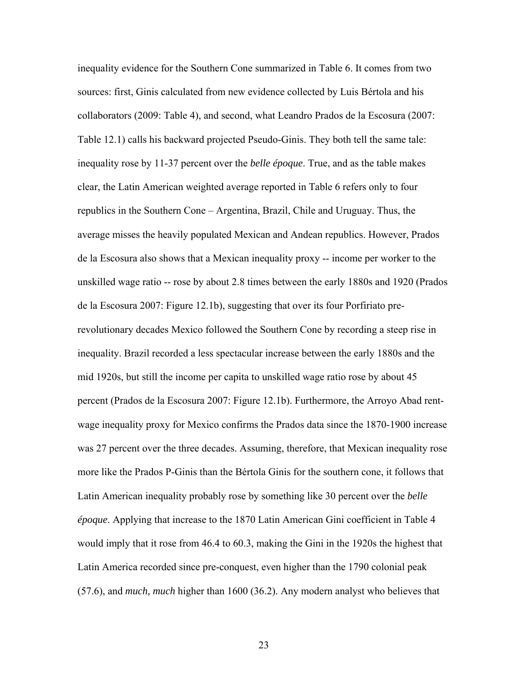inequality evidence for the Southern Cone summarized in Table 6. It comes from two sources: first, Ginis calculated from new evidence collected by Luis Bértola and his collaborators (2009: Table 4), and second, what Leandro Prados de la Escosura (2007: Table 12.1) calls his backward projected Pseudo-Ginis. They both tell the same tale: inequality rose by 11-37 percent over the *belle époque*. True, and as the table makes clear, the Latin American weighted average reported in Table 6 refers only to four republics in the Southern Cone – Argentina, Brazil, Chile and Uruguay. Thus, the average misses the heavily populated Mexican and Andean republics. However, Prados de la Escosura also shows that a Mexican inequality proxy -- income per worker to the unskilled wage ratio -- rose by about 2.8 times between the early 1880s and 1920 (Prados de la Escosura 2007: Figure 12.1b), suggesting that over its four Porfiriato prerevolutionary decades Mexico followed the Southern Cone by recording a steep rise in inequality. Brazil recorded a less spectacular increase between the early 1880s and the mid 1920s, but still the income per capita to unskilled wage ratio rose by about 45 percent (Prados de la Escosura 2007: Figure 12.1b). Furthermore, the Arroyo Abad rentwage inequality proxy for Mexico confirms the Prados data since the 1870-1900 increase was 27 percent over the three decades. Assuming, therefore, that Mexican inequality rose more like the Prados P-Ginis than the Bértola Ginis for the southern cone, it follows that Latin American inequality probably rose by something like 30 percent over the *belle époque*. Applying that increase to the 1870 Latin American Gini coefficient in Table 4 would imply that it rose from 46.4 to 60.3, making the Gini in the 1920s the highest that Latin America recorded since pre-conquest, even higher than the 1790 colonial peak (57.6), and *much, much* higher than 1600 (36.2). Any modern analyst who believes that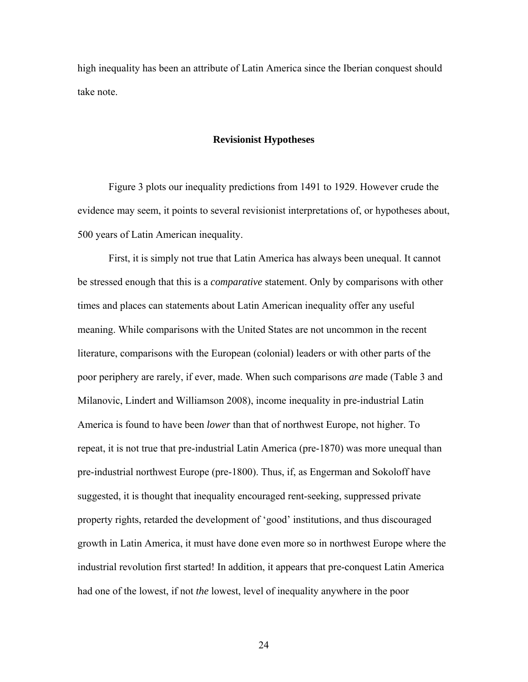high inequality has been an attribute of Latin America since the Iberian conquest should take note.

### **Revisionist Hypotheses**

Figure 3 plots our inequality predictions from 1491 to 1929. However crude the evidence may seem, it points to several revisionist interpretations of, or hypotheses about, 500 years of Latin American inequality.

First, it is simply not true that Latin America has always been unequal. It cannot be stressed enough that this is a *comparative* statement. Only by comparisons with other times and places can statements about Latin American inequality offer any useful meaning. While comparisons with the United States are not uncommon in the recent literature, comparisons with the European (colonial) leaders or with other parts of the poor periphery are rarely, if ever, made. When such comparisons *are* made (Table 3 and Milanovic, Lindert and Williamson 2008), income inequality in pre-industrial Latin America is found to have been *lower* than that of northwest Europe, not higher. To repeat, it is not true that pre-industrial Latin America (pre-1870) was more unequal than pre-industrial northwest Europe (pre-1800). Thus, if, as Engerman and Sokoloff have suggested, it is thought that inequality encouraged rent-seeking, suppressed private property rights, retarded the development of 'good' institutions, and thus discouraged growth in Latin America, it must have done even more so in northwest Europe where the industrial revolution first started! In addition, it appears that pre-conquest Latin America had one of the lowest, if not *the* lowest, level of inequality anywhere in the poor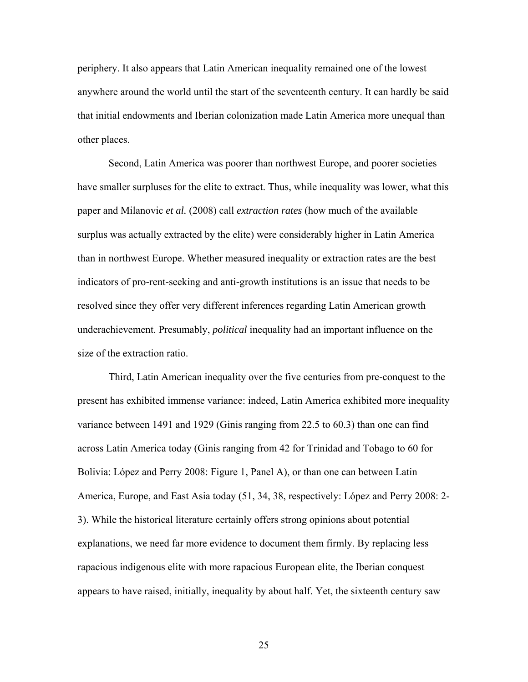periphery. It also appears that Latin American inequality remained one of the lowest anywhere around the world until the start of the seventeenth century. It can hardly be said that initial endowments and Iberian colonization made Latin America more unequal than other places.

Second, Latin America was poorer than northwest Europe, and poorer societies have smaller surpluses for the elite to extract. Thus, while inequality was lower, what this paper and Milanovic *et al.* (2008) call *extraction rates* (how much of the available surplus was actually extracted by the elite) were considerably higher in Latin America than in northwest Europe. Whether measured inequality or extraction rates are the best indicators of pro-rent-seeking and anti-growth institutions is an issue that needs to be resolved since they offer very different inferences regarding Latin American growth underachievement. Presumably, *political* inequality had an important influence on the size of the extraction ratio.

Third, Latin American inequality over the five centuries from pre-conquest to the present has exhibited immense variance: indeed, Latin America exhibited more inequality variance between 1491 and 1929 (Ginis ranging from 22.5 to 60.3) than one can find across Latin America today (Ginis ranging from 42 for Trinidad and Tobago to 60 for Bolivia: López and Perry 2008: Figure 1, Panel A), or than one can between Latin America, Europe, and East Asia today (51, 34, 38, respectively: López and Perry 2008: 2- 3). While the historical literature certainly offers strong opinions about potential explanations, we need far more evidence to document them firmly. By replacing less rapacious indigenous elite with more rapacious European elite, the Iberian conquest appears to have raised, initially, inequality by about half. Yet, the sixteenth century saw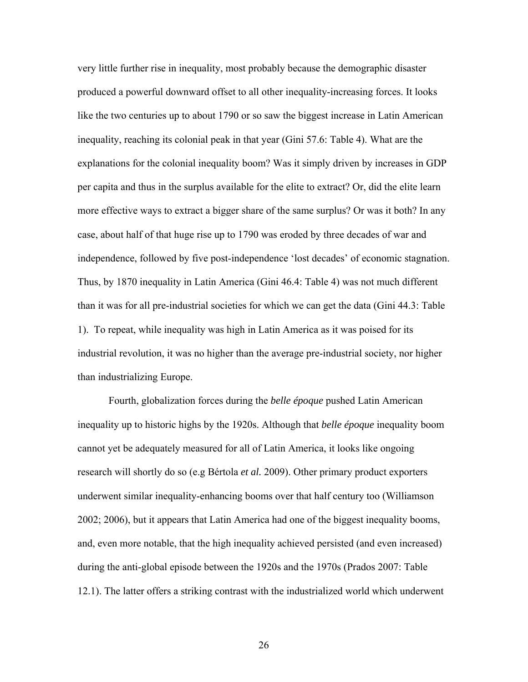very little further rise in inequality, most probably because the demographic disaster produced a powerful downward offset to all other inequality-increasing forces. It looks like the two centuries up to about 1790 or so saw the biggest increase in Latin American inequality, reaching its colonial peak in that year (Gini 57.6: Table 4). What are the explanations for the colonial inequality boom? Was it simply driven by increases in GDP per capita and thus in the surplus available for the elite to extract? Or, did the elite learn more effective ways to extract a bigger share of the same surplus? Or was it both? In any case, about half of that huge rise up to 1790 was eroded by three decades of war and independence, followed by five post-independence 'lost decades' of economic stagnation. Thus, by 1870 inequality in Latin America (Gini 46.4: Table 4) was not much different than it was for all pre-industrial societies for which we can get the data (Gini 44.3: Table 1). To repeat, while inequality was high in Latin America as it was poised for its industrial revolution, it was no higher than the average pre-industrial society, nor higher than industrializing Europe.

Fourth, globalization forces during the *belle époque* pushed Latin American inequality up to historic highs by the 1920s. Although that *belle époque* inequality boom cannot yet be adequately measured for all of Latin America, it looks like ongoing research will shortly do so (e.g Bértola *et al.* 2009). Other primary product exporters underwent similar inequality-enhancing booms over that half century too (Williamson 2002; 2006), but it appears that Latin America had one of the biggest inequality booms, and, even more notable, that the high inequality achieved persisted (and even increased) during the anti-global episode between the 1920s and the 1970s (Prados 2007: Table 12.1). The latter offers a striking contrast with the industrialized world which underwent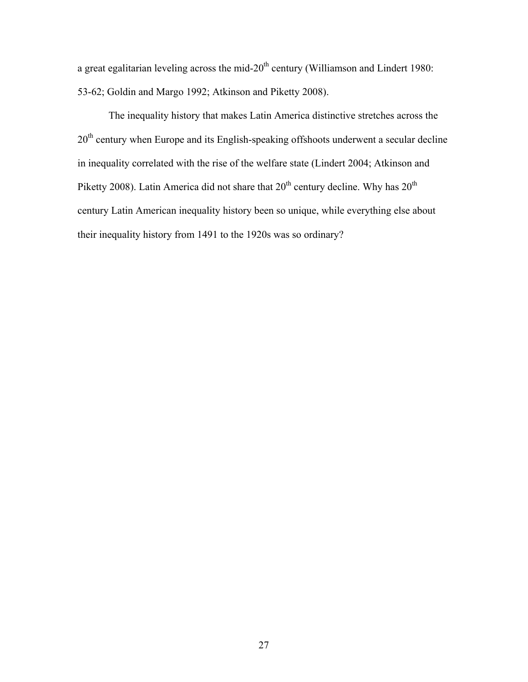a great egalitarian leveling across the mid- $20<sup>th</sup>$  century (Williamson and Lindert 1980: 53-62; Goldin and Margo 1992; Atkinson and Piketty 2008).

The inequality history that makes Latin America distinctive stretches across the 20<sup>th</sup> century when Europe and its English-speaking offshoots underwent a secular decline in inequality correlated with the rise of the welfare state (Lindert 2004; Atkinson and Piketty 2008). Latin America did not share that  $20<sup>th</sup>$  century decline. Why has  $20<sup>th</sup>$ century Latin American inequality history been so unique, while everything else about their inequality history from 1491 to the 1920s was so ordinary?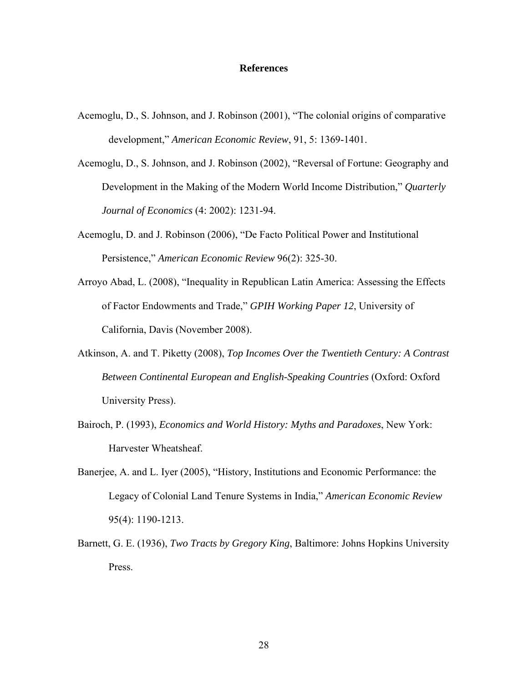# **References**

- Acemoglu, D., S. Johnson, and J. Robinson (2001), "The colonial origins of comparative development," *American Economic Review*, 91, 5: 1369-1401.
- Acemoglu, D., S. Johnson, and J. Robinson (2002), "Reversal of Fortune: Geography and Development in the Making of the Modern World Income Distribution," *Quarterly Journal of Economics* (4: 2002): 1231-94.
- Acemoglu, D. and J. Robinson (2006), "De Facto Political Power and Institutional Persistence," *American Economic Review* 96(2): 325-30.
- Arroyo Abad, L. (2008), "Inequality in Republican Latin America: Assessing the Effects of Factor Endowments and Trade," *GPIH Working Paper 12*, University of California, Davis (November 2008).
- Atkinson, A. and T. Piketty (2008), *Top Incomes Over the Twentieth Century: A Contrast Between Continental European and English-Speaking Countries* (Oxford: Oxford University Press).
- Bairoch, P. (1993), *Economics and World History: Myths and Paradoxes*, New York: Harvester Wheatsheaf.
- Banerjee, A. and L. Iyer (2005), "History, Institutions and Economic Performance: the Legacy of Colonial Land Tenure Systems in India," *American Economic Review* 95(4): 1190-1213.
- Barnett, G. E. (1936), *Two Tracts by Gregory King*, Baltimore: Johns Hopkins University Press.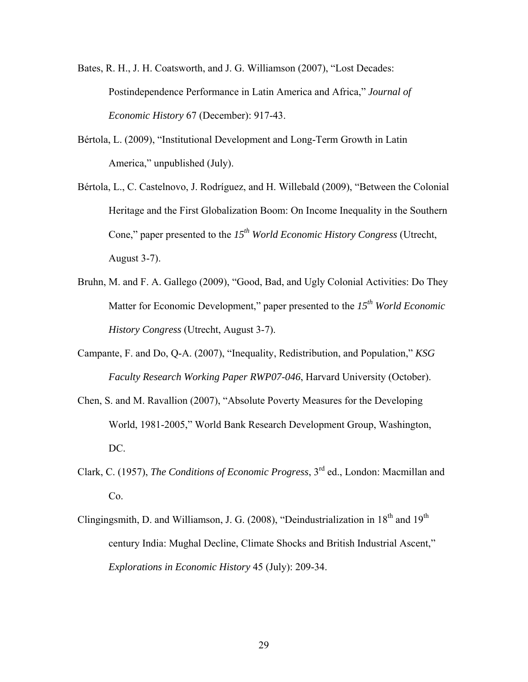- Bates, R. H., J. H. Coatsworth, and J. G. Williamson (2007), "Lost Decades: Postindependence Performance in Latin America and Africa," *Journal of Economic History* 67 (December): 917-43.
- Bértola, L. (2009), "Institutional Development and Long-Term Growth in Latin America," unpublished (July).
- Bértola, L., C. Castelnovo, J. Rodríguez, and H. Willebald (2009), "Between the Colonial Heritage and the First Globalization Boom: On Income Inequality in the Southern Cone," paper presented to the 15<sup>th</sup> World Economic History Congress (Utrecht, August 3-7).
- Bruhn, M. and F. A. Gallego (2009), "Good, Bad, and Ugly Colonial Activities: Do They Matter for Economic Development," paper presented to the *15th World Economic History Congress* (Utrecht, August 3-7).
- Campante, F. and Do, Q-A. (2007), "Inequality, Redistribution, and Population," *KSG Faculty Research Working Paper RWP07-046*, Harvard University (October).
- Chen, S. and M. Ravallion (2007), "Absolute Poverty Measures for the Developing World, 1981-2005," World Bank Research Development Group, Washington, DC.
- Clark, C. (1957), *The Conditions of Economic Progress*, 3rd ed., London: Macmillan and Co.
- Clingingsmith, D. and Williamson, J. G. (2008), "Deindustrialization in  $18<sup>th</sup>$  and  $19<sup>th</sup>$ century India: Mughal Decline, Climate Shocks and British Industrial Ascent," *Explorations in Economic History* 45 (July): 209-34.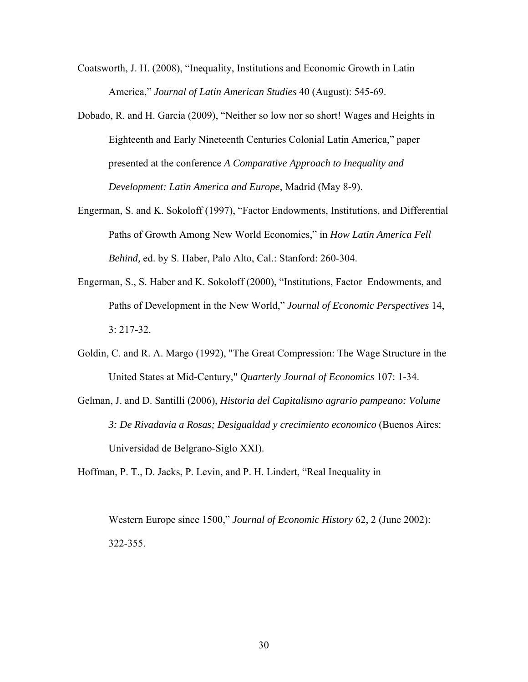Coatsworth, J. H. (2008), "Inequality, Institutions and Economic Growth in Latin America," *Journal of Latin American Studies* 40 (August): 545-69.

- Dobado, R. and H. Garcia (2009), "Neither so low nor so short! Wages and Heights in Eighteenth and Early Nineteenth Centuries Colonial Latin America," paper presented at the conference *A Comparative Approach to Inequality and Development: Latin America and Europe*, Madrid (May 8-9).
- Engerman, S. and K. Sokoloff (1997), "Factor Endowments, Institutions, and Differential Paths of Growth Among New World Economies," in *How Latin America Fell Behind,* ed. by S. Haber, Palo Alto, Cal.: Stanford: 260-304.
- Engerman, S., S. Haber and K. Sokoloff (2000), "Institutions, Factor Endowments, and Paths of Development in the New World," *Journal of Economic Perspectives* 14, 3: 217-32.
- Goldin, C. and R. A. Margo (1992), "The Great Compression: The Wage Structure in the United States at Mid-Century," *Quarterly Journal of Economics* 107: 1-34.
- Gelman, J. and D. Santilli (2006), *Historia del Capitalismo agrario pampeano: Volume 3: De Rivadavia a Rosas; Desigualdad y crecimiento economico* (Buenos Aires: Universidad de Belgrano-Siglo XXI).

Hoffman, P. T., D. Jacks, P. Levin, and P. H. Lindert, "Real Inequality in

Western Europe since 1500," *Journal of Economic History* 62, 2 (June 2002): 322-355.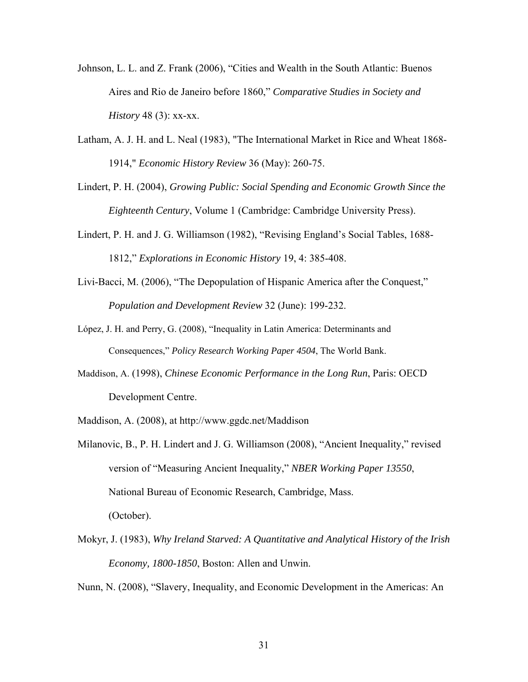- Johnson, L. L. and Z. Frank (2006), "Cities and Wealth in the South Atlantic: Buenos Aires and Rio de Janeiro before 1860," *Comparative Studies in Society and History* 48 (3): xx-xx.
- Latham, A. J. H. and L. Neal (1983), "The International Market in Rice and Wheat 1868- 1914," *Economic History Review* 36 (May): 260-75.
- Lindert, P. H. (2004), *Growing Public: Social Spending and Economic Growth Since the Eighteenth Century*, Volume 1 (Cambridge: Cambridge University Press).
- Lindert, P. H. and J. G. Williamson (1982), "Revising England's Social Tables, 1688- 1812," *Explorations in Economic History* 19, 4: 385-408.
- Livi-Bacci, M. (2006), "The Depopulation of Hispanic America after the Conquest," *Population and Development Review* 32 (June): 199-232.
- López, J. H. and Perry, G. (2008), "Inequality in Latin America: Determinants and Consequences," *Policy Research Working Paper 4504*, The World Bank.
- Maddison, A. (1998), *Chinese Economic Performance in the Long Run*, Paris: OECD Development Centre.
- Maddison, A. (2008), at http://www.ggdc.net/Maddison
- Milanovic, B., P. H. Lindert and J. G. Williamson (2008), "Ancient Inequality," revised version of "Measuring Ancient Inequality," *NBER Working Paper 13550*, National Bureau of Economic Research, Cambridge, Mass. (October).
- Mokyr, J. (1983), *Why Ireland Starved: A Quantitative and Analytical History of the Irish Economy, 1800-1850*, Boston: Allen and Unwin.

Nunn, N. (2008), "Slavery, Inequality, and Economic Development in the Americas: An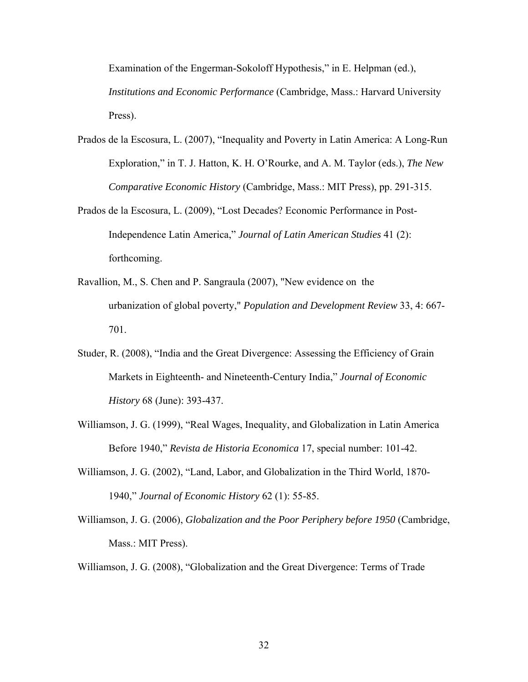Examination of the Engerman-Sokoloff Hypothesis," in E. Helpman (ed.), *Institutions and Economic Performance* (Cambridge, Mass.: Harvard University Press).

- Prados de la Escosura, L. (2007), "Inequality and Poverty in Latin America: A Long-Run Exploration," in T. J. Hatton, K. H. O'Rourke, and A. M. Taylor (eds.), *The New Comparative Economic History* (Cambridge, Mass.: MIT Press), pp. 291-315.
- Prados de la Escosura, L. (2009), "Lost Decades? Economic Performance in Post-Independence Latin America," *Journal of Latin American Studies* 41 (2): forthcoming.
- Ravallion, M., S. Chen and P. Sangraula (2007), "New evidence on the urbanization of global poverty," *Population and Development Review* 33, 4: 667- 701.
- Studer, R. (2008), "India and the Great Divergence: Assessing the Efficiency of Grain Markets in Eighteenth- and Nineteenth-Century India," *Journal of Economic History* 68 (June): 393-437.
- Williamson, J. G. (1999), "Real Wages, Inequality, and Globalization in Latin America Before 1940," *Revista de Historia Economica* 17, special number: 101-42.
- Williamson, J. G. (2002), "Land, Labor, and Globalization in the Third World, 1870- 1940," *Journal of Economic History* 62 (1): 55-85.
- Williamson, J. G. (2006), *Globalization and the Poor Periphery before 1950* (Cambridge, Mass.: MIT Press).

Williamson, J. G. (2008), "Globalization and the Great Divergence: Terms of Trade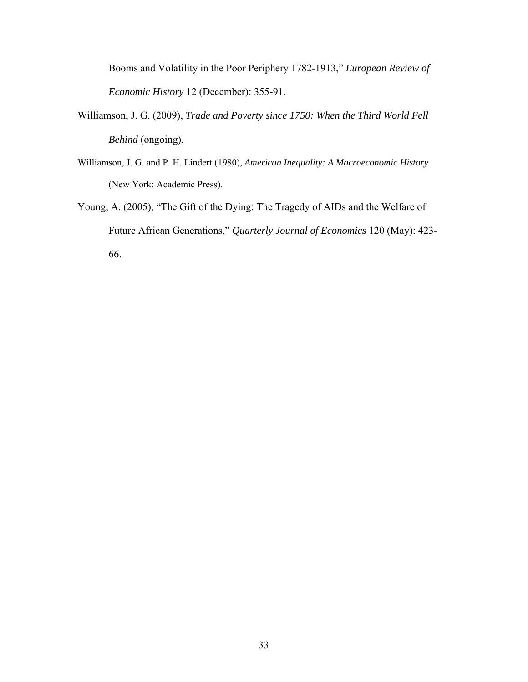Booms and Volatility in the Poor Periphery 1782-1913," *European Review of Economic History* 12 (December): 355-91.

- Williamson, J. G. (2009), *Trade and Poverty since 1750: When the Third World Fell Behind* (ongoing).
- Williamson, J. G. and P. H. Lindert (1980), *American Inequality: A Macroeconomic History* (New York: Academic Press).
- Young, A. (2005), "The Gift of the Dying: The Tragedy of AIDs and the Welfare of Future African Generations," *Quarterly Journal of Economics* 120 (May): 423- 66.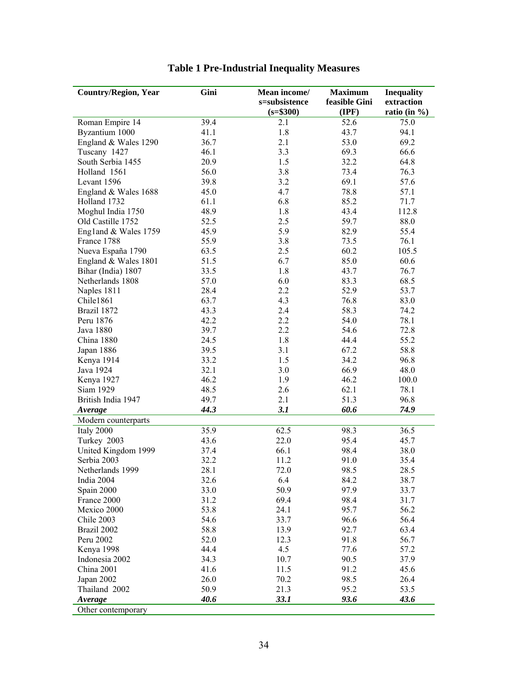| <b>Country/Region, Year</b>        | Gini | Mean income/  | <b>Maximum</b>   | <b>Inequality</b> |
|------------------------------------|------|---------------|------------------|-------------------|
|                                    |      | s=subsistence | feasible Gini    | extraction        |
|                                    |      | $(s= $300)$   | $(\mathbf{IPF})$ | ratio (in $\%$ )  |
| Roman Empire 14                    | 39.4 | 2.1           | 52.6             | 75.0              |
| Byzantium 1000                     | 41.1 | 1.8           | 43.7             | 94.1              |
| England & Wales 1290               | 36.7 | 2.1           | 53.0             | 69.2              |
| Tuscany 1427                       | 46.1 | 3.3           | 69.3             | 66.6              |
| South Serbia 1455                  | 20.9 | $1.5\,$       | 32.2             | 64.8              |
| Holland 1561                       | 56.0 | 3.8           | 73.4             | 76.3              |
| Levant 1596                        | 39.8 | 3.2           | 69.1             | 57.6              |
| England & Wales 1688               | 45.0 | 4.7           | 78.8             | 57.1              |
| Holland 1732                       | 61.1 | 6.8           | 85.2             | 71.7              |
| Moghul India 1750                  | 48.9 | 1.8           | 43.4             | 112.8             |
| Old Castille 1752                  | 52.5 | 2.5           | 59.7             | 88.0              |
| England & Wales 1759               | 45.9 | 5.9           | 82.9             | 55.4              |
| France 1788                        | 55.9 | 3.8           | 73.5             | 76.1              |
| Nueva España 1790                  | 63.5 | 2.5           | 60.2             | 105.5             |
| England & Wales 1801               | 51.5 | 6.7           | 85.0             | 60.6              |
| Bihar (India) 1807                 | 33.5 | 1.8           | 43.7             | 76.7              |
| Netherlands 1808                   | 57.0 | 6.0           | 83.3             | 68.5              |
| Naples 1811                        | 28.4 | 2.2           | 52.9             | 53.7              |
| Chile1861                          | 63.7 | 4.3           | 76.8             | 83.0              |
| Brazil 1872                        | 43.3 | 2.4           | 58.3             | 74.2              |
| Peru 1876                          | 42.2 | 2.2           | 54.0             | 78.1              |
| Java 1880                          | 39.7 | 2.2           | 54.6             | 72.8              |
| China 1880                         | 24.5 | 1.8           | 44.4             | 55.2              |
| Japan 1886                         | 39.5 | 3.1           | 67.2             | 58.8              |
| Kenya 1914                         | 33.2 | 1.5           | 34.2             | 96.8              |
| Java 1924                          | 32.1 | 3.0           | 66.9             | 48.0              |
| Kenya 1927                         | 46.2 | 1.9           | 46.2             | 100.0             |
| Siam 1929                          | 48.5 | 2.6           | 62.1             | 78.1              |
| British India 1947                 | 49.7 | 2.1           | 51.3             | 96.8              |
| Average                            | 44.3 | 3.1           | 60.6             | 74.9              |
| Modern counterparts                |      |               |                  |                   |
| Italy 2000                         | 35.9 | 62.5          | 98.3             | 36.5              |
|                                    | 43.6 | 22.0          | 95.4             | 45.7              |
| Turkey 2003<br>United Kingdom 1999 |      |               | 98.4             |                   |
|                                    | 37.4 | 66.1<br>11.2  |                  | 38.0              |
| Serbia 2003                        | 32.2 |               | 91.0             | 35.4              |
| Netherlands 1999                   | 28.1 | 72.0          | 98.5             | 28.5              |
| India 2004                         | 32.6 | 6.4           | 84.2             | 38.7              |
| Spain 2000                         | 33.0 | 50.9          | 97.9             | 33.7              |
| France 2000                        | 31.2 | 69.4          | 98.4             | 31.7              |
| Mexico 2000                        | 53.8 | 24.1          | 95.7             | 56.2              |
| Chile 2003                         | 54.6 | 33.7          | 96.6             | 56.4              |
| Brazil 2002                        | 58.8 | 13.9          | 92.7             | 63.4              |
| Peru 2002                          | 52.0 | 12.3          | 91.8             | 56.7              |
| Kenya 1998                         | 44.4 | 4.5           | 77.6             | 57.2              |
| Indonesia 2002                     | 34.3 | 10.7          | 90.5             | 37.9              |
| China 2001                         | 41.6 | 11.5          | 91.2             | 45.6              |
| Japan 2002                         | 26.0 | 70.2          | 98.5             | 26.4              |
| Thailand 2002                      | 50.9 | 21.3          | 95.2             | 53.5              |
| Average                            | 40.6 | 33.1          | 93.6             | 43.6              |
| Other contemporary                 |      |               |                  |                   |

# **Table 1 Pre-Industrial Inequality Measures**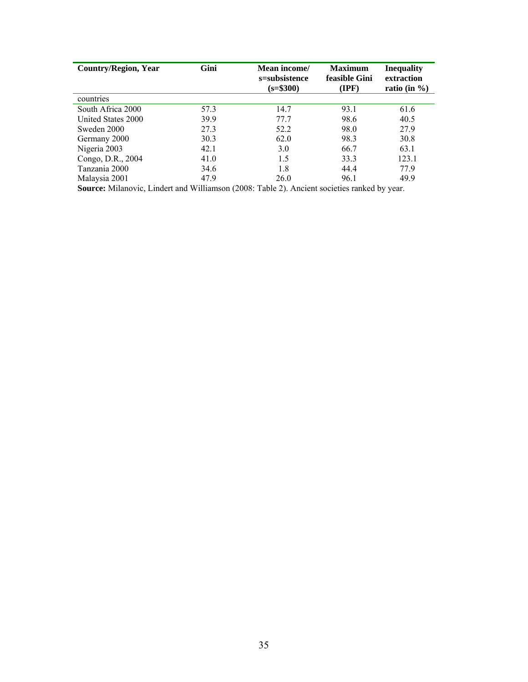| <b>Country/Region, Year</b>                    | Gini | Mean income/<br><b>Maximum</b><br>feasible Gini<br>s=subsistence<br>$(s=$ \$300)<br>(IPF) |      | <b>Inequality</b><br>extraction<br>ratio (in $\%$ ) |  |
|------------------------------------------------|------|-------------------------------------------------------------------------------------------|------|-----------------------------------------------------|--|
| countries                                      |      |                                                                                           |      |                                                     |  |
| South Africa 2000                              | 57.3 | 14.7                                                                                      | 93.1 | 61.6                                                |  |
| United States 2000                             | 39.9 | 77.7                                                                                      | 98.6 | 40.5                                                |  |
| Sweden 2000                                    | 27.3 | 52.2                                                                                      | 98.0 | 27.9                                                |  |
| Germany 2000                                   | 30.3 | 62.0                                                                                      | 98.3 | 30.8                                                |  |
| Nigeria 2003                                   | 42.1 | 3.0                                                                                       | 66.7 | 63.1                                                |  |
| Congo, D.R., 2004                              | 41.0 | 1.5                                                                                       | 33.3 | 123.1                                               |  |
| Tanzania 2000                                  | 34.6 | 1.8                                                                                       | 44.4 | 77.9                                                |  |
| Malaysia 2001                                  | 47.9 | 26.0                                                                                      | 96.1 | 49.9                                                |  |
| $\alpha$ and $\tau$ is interested and $\alpha$ |      |                                                                                           |      |                                                     |  |

**Source:** Milanovic, Lindert and Williamson (2008: Table 2). Ancient societies ranked by year.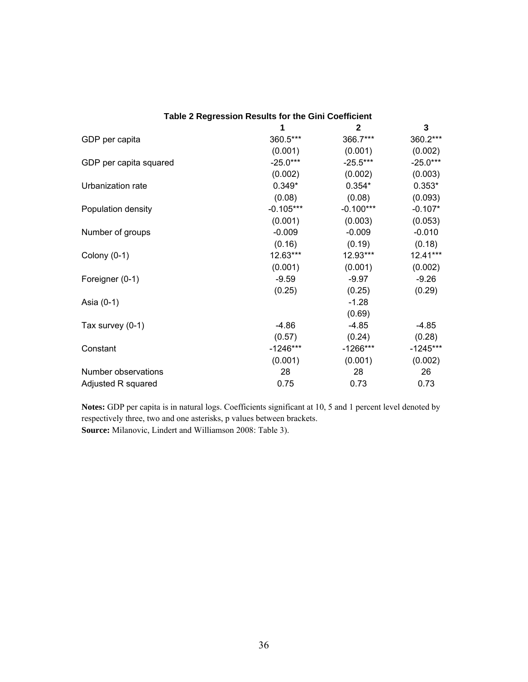| Table 2 Regression Results for the Gini Coefficient |             |              |            |  |  |  |  |  |
|-----------------------------------------------------|-------------|--------------|------------|--|--|--|--|--|
|                                                     |             | $\mathbf{2}$ | 3          |  |  |  |  |  |
| GDP per capita                                      | 360.5***    | 366.7***     | 360.2***   |  |  |  |  |  |
|                                                     | (0.001)     | (0.001)      | (0.002)    |  |  |  |  |  |
| GDP per capita squared                              | $-25.0***$  | $-25.5***$   | $-25.0***$ |  |  |  |  |  |
|                                                     | (0.002)     | (0.002)      | (0.003)    |  |  |  |  |  |
| Urbanization rate                                   | $0.349*$    | $0.354*$     | $0.353*$   |  |  |  |  |  |
|                                                     | (0.08)      | (0.08)       | (0.093)    |  |  |  |  |  |
| Population density                                  | $-0.105***$ | $-0.100***$  | $-0.107*$  |  |  |  |  |  |
|                                                     | (0.001)     | (0.003)      | (0.053)    |  |  |  |  |  |
| Number of groups                                    | $-0.009$    | $-0.009$     | $-0.010$   |  |  |  |  |  |
|                                                     | (0.16)      | (0.19)       | (0.18)     |  |  |  |  |  |
| Colony $(0-1)$                                      | 12.63***    | 12.93***     | 12.41***   |  |  |  |  |  |
|                                                     | (0.001)     | (0.001)      | (0.002)    |  |  |  |  |  |
| Foreigner (0-1)                                     | $-9.59$     | $-9.97$      | $-9.26$    |  |  |  |  |  |
|                                                     | (0.25)      | (0.25)       | (0.29)     |  |  |  |  |  |
| Asia (0-1)                                          |             | $-1.28$      |            |  |  |  |  |  |
|                                                     |             | (0.69)       |            |  |  |  |  |  |
| Tax survey (0-1)                                    | $-4.86$     | $-4.85$      | $-4.85$    |  |  |  |  |  |
|                                                     | (0.57)      | (0.24)       | (0.28)     |  |  |  |  |  |
| Constant                                            | $-1246***$  | $-1266***$   | $-1245***$ |  |  |  |  |  |
|                                                     | (0.001)     | (0.001)      | (0.002)    |  |  |  |  |  |
| Number observations                                 | 28          | 28           | 26         |  |  |  |  |  |
| Adjusted R squared                                  | 0.75        | 0.73         | 0.73       |  |  |  |  |  |

**Notes:** GDP per capita is in natural logs. Coefficients significant at 10, 5 and 1 percent level denoted by respectively three, two and one asterisks, p values between brackets. **Source:** Milanovic, Lindert and Williamson 2008: Table 3).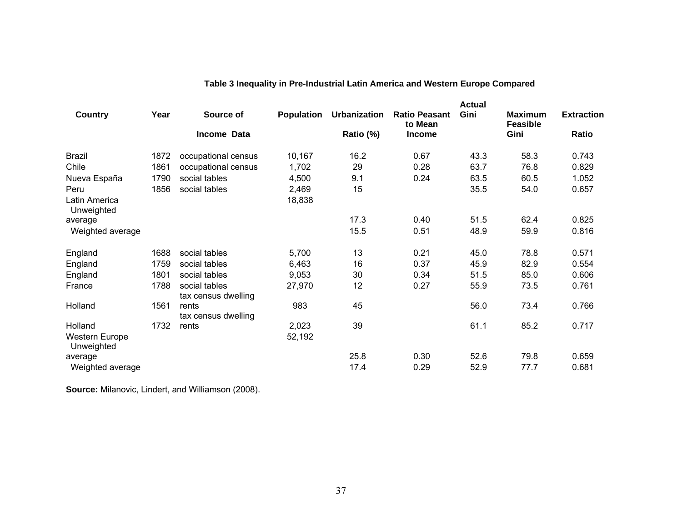|                                     |      |                                      |                   |                     |                                 | <b>Actual</b> |                                   |                   |
|-------------------------------------|------|--------------------------------------|-------------------|---------------------|---------------------------------|---------------|-----------------------------------|-------------------|
| Country                             | Year | Source of                            | <b>Population</b> | <b>Urbanization</b> | <b>Ratio Peasant</b><br>to Mean | Gini          | <b>Maximum</b><br><b>Feasible</b> | <b>Extraction</b> |
|                                     |      | Income Data                          |                   | Ratio (%)           | <b>Income</b>                   |               | Gini                              | <b>Ratio</b>      |
| <b>Brazil</b>                       | 1872 | occupational census                  | 10,167            | 16.2                | 0.67                            | 43.3          | 58.3                              | 0.743             |
| Chile                               | 1861 | occupational census                  | 1,702             | 29                  | 0.28                            | 63.7          | 76.8                              | 0.829             |
| Nueva España                        | 1790 | social tables                        | 4,500             | 9.1                 | 0.24                            | 63.5          | 60.5                              | 1.052             |
| Peru                                | 1856 | social tables                        | 2,469             | 15                  |                                 | 35.5          | 54.0                              | 0.657             |
| Latin America<br>Unweighted         |      |                                      | 18,838            |                     |                                 |               |                                   |                   |
| average                             |      |                                      |                   | 17.3                | 0.40                            | 51.5          | 62.4                              | 0.825             |
| Weighted average                    |      |                                      |                   | 15.5                | 0.51                            | 48.9          | 59.9                              | 0.816             |
| England                             | 1688 | social tables                        | 5,700             | 13                  | 0.21                            | 45.0          | 78.8                              | 0.571             |
| England                             | 1759 | social tables                        | 6,463             | 16                  | 0.37                            | 45.9          | 82.9                              | 0.554             |
| England                             | 1801 | social tables                        | 9,053             | 30                  | 0.34                            | 51.5          | 85.0                              | 0.606             |
| France                              | 1788 | social tables<br>tax census dwelling | 27,970            | 12                  | 0.27                            | 55.9          | 73.5                              | 0.761             |
| Holland                             | 1561 | rents<br>tax census dwelling         | 983               | 45                  |                                 | 56.0          | 73.4                              | 0.766             |
| Holland                             | 1732 | rents                                | 2,023             | 39                  |                                 | 61.1          | 85.2                              | 0.717             |
| <b>Western Europe</b><br>Unweighted |      |                                      | 52,192            |                     |                                 |               |                                   |                   |
| average                             |      |                                      |                   | 25.8                | 0.30                            | 52.6          | 79.8                              | 0.659             |
| Weighted average                    |      |                                      |                   | 17.4                | 0.29                            | 52.9          | 77.7                              | 0.681             |

# **Table 3 Inequality in Pre-Industrial Latin America and Western Europe Compared**

**Source:** Milanovic, Lindert, and Williamson (2008).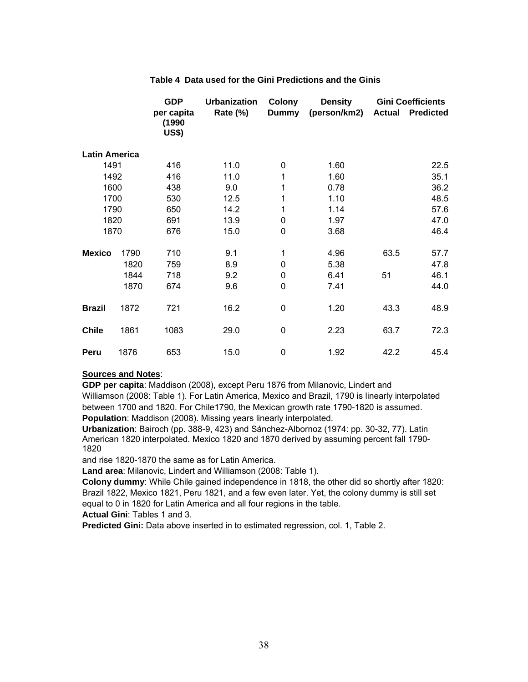|                      |      | <b>GDP</b><br>per capita<br>(1990<br><b>US\$)</b> | <b>Urbanization</b><br>Rate (%) | <b>Colony</b><br><b>Dummy</b> | <b>Density</b><br>(person/km2) | <b>Actual</b> | <b>Gini Coefficients</b><br><b>Predicted</b> |
|----------------------|------|---------------------------------------------------|---------------------------------|-------------------------------|--------------------------------|---------------|----------------------------------------------|
| <b>Latin America</b> |      |                                                   |                                 |                               |                                |               |                                              |
| 1491                 |      | 416                                               | 11.0                            | $\mathbf 0$                   | 1.60                           |               | 22.5                                         |
| 1492                 |      | 416                                               | 11.0                            | 1                             | 1.60                           |               | 35.1                                         |
| 1600                 |      | 438                                               | 9.0                             | 1                             | 0.78                           |               | 36.2                                         |
| 1700                 |      | 530                                               | 12.5                            | 1                             | 1.10                           |               | 48.5                                         |
| 1790                 |      | 650                                               | 14.2                            | 1                             | 1.14                           |               | 57.6                                         |
| 1820                 |      | 691                                               | 13.9                            | 0                             | 1.97                           |               | 47.0                                         |
| 1870                 |      | 676                                               | 15.0                            | 0                             | 3.68                           |               | 46.4                                         |
| <b>Mexico</b>        | 1790 | 710                                               | 9.1                             | 1                             | 4.96                           | 63.5          | 57.7                                         |
|                      | 1820 | 759                                               | 8.9                             | $\mathbf 0$                   | 5.38                           |               | 47.8                                         |
|                      | 1844 | 718                                               | 9.2                             | 0                             | 6.41                           | 51            | 46.1                                         |
|                      | 1870 | 674                                               | 9.6                             | $\mathbf 0$                   | 7.41                           |               | 44.0                                         |
| <b>Brazil</b>        | 1872 | 721                                               | 16.2                            | $\mathbf 0$                   | 1.20                           | 43.3          | 48.9                                         |
| <b>Chile</b>         | 1861 | 1083                                              | 29.0                            | $\mathbf 0$                   | 2.23                           | 63.7          | 72.3                                         |
| Peru                 | 1876 | 653                                               | 15.0                            | $\mathbf 0$                   | 1.92                           | 42.2          | 45.4                                         |

#### **Table 4 Data used for the Gini Predictions and the Ginis**

#### **Sources and Notes**:

**GDP per capita**: Maddison (2008), except Peru 1876 from Milanovic, Lindert and Williamson (2008: Table 1). For Latin America, Mexico and Brazil, 1790 is linearly interpolated between 1700 and 1820. For Chile1790, the Mexican growth rate 1790-1820 is assumed. **Population**: Maddison (2008). Missing years linearly interpolated.

**Urbanization**: Bairoch (pp. 388-9, 423) and Sánchez-Albornoz (1974: pp. 30-32, 77). Latin American 1820 interpolated. Mexico 1820 and 1870 derived by assuming percent fall 1790- 1820

and rise 1820-1870 the same as for Latin America.

**Land area**: Milanovic, Lindert and Williamson (2008: Table 1).

**Colony dummy**: While Chile gained independence in 1818, the other did so shortly after 1820: Brazil 1822, Mexico 1821, Peru 1821, and a few even later. Yet, the colony dummy is still set equal to 0 in 1820 for Latin America and all four regions in the table.

**Actual Gini**: Tables 1 and 3.

**Predicted Gini:** Data above inserted in to estimated regression, col. 1, Table 2.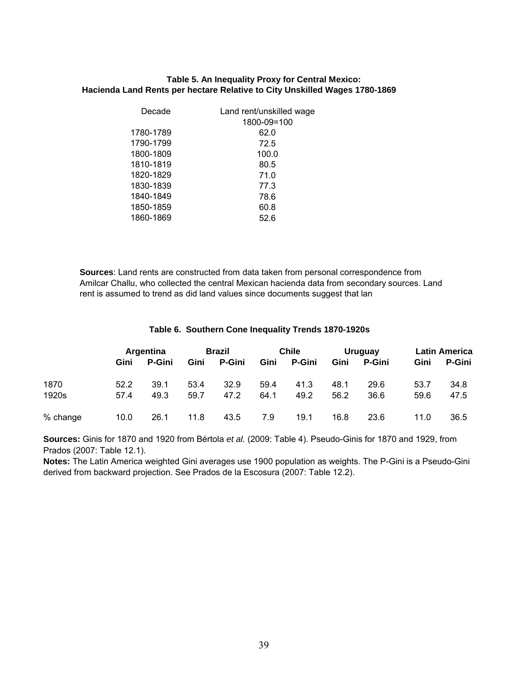#### **Hacienda Land Rents per hectare Relative to City Unskilled Wages 1780-1869 Table 5. An Inequality Proxy for Central Mexico:**

| Decade    | Land rent/unskilled wage<br>1800-09=100 |
|-----------|-----------------------------------------|
| 1780-1789 | 62.0                                    |
| 1790-1799 | 72.5                                    |
| 1800-1809 | 100.0                                   |
| 1810-1819 | 80.5                                    |
| 1820-1829 | 71.0                                    |
| 1830-1839 | 77.3                                    |
| 1840-1849 | 78.6                                    |
| 1850-1859 | 60.8                                    |
| 1860-1869 | 52.6                                    |

**Sources**: Land rents are constructed from data taken from personal correspondence from Amilcar Challu, who collected the central Mexican hacienda data from secondary sources. Land rent is assumed to trend as did land values since documents suggest that lan

#### **Table 6. Southern Cone Inequality Trends 1870-1920s**

|          | <b>Argentina</b> |               | Brazil |               | <b>Chile</b> |        | <b>Uruguay</b> |               | <b>Latin America</b> |               |
|----------|------------------|---------------|--------|---------------|--------------|--------|----------------|---------------|----------------------|---------------|
|          | Gini             | <b>P-Gini</b> | Gini   | <b>P-Gini</b> | Gini         | P-Gini | Gini           | <b>P-Gini</b> | Gini                 | <b>P-Gini</b> |
| 1870     | 52.2             | 39.1          | 53.4   | 32.9          | 59.4         | 41.3   | 48.1           | 29.6          | 53.7                 | 34.8          |
| 1920s    | 57.4             | 49.3          | 59.7   | 47.2          | 64.1         | 49.2   | 56.2           | 36.6          | 59.6                 | 47.5          |
| % change | 10.0             | 26.1          | 11.8   | 43.5          | 7.9          | 19.1   | 16.8           | 23.6          | 11.0                 | 36.5          |

**Sources:** Ginis for 1870 and 1920 from Bértola *et al.* (2009: Table 4). Pseudo-Ginis for 1870 and 1929, from Prados (2007: Table 12.1).

**Notes:** The Latin America weighted Gini averages use 1900 population as weights. The P-Gini is a Pseudo-Gini derived from backward projection. See Prados de la Escosura (2007: Table 12.2).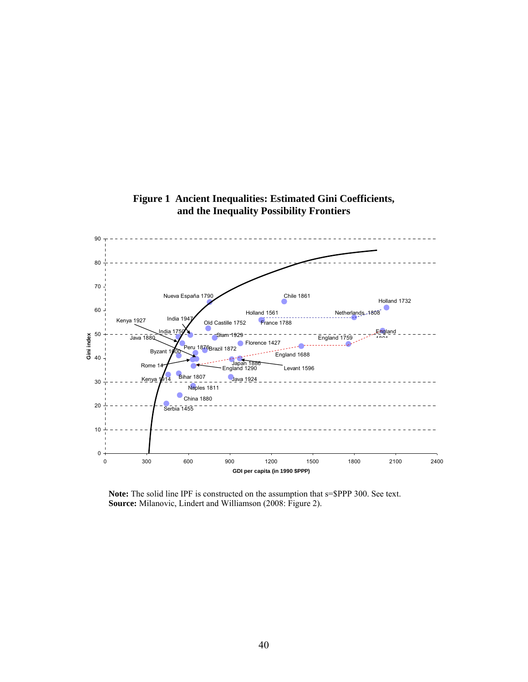

**Figure 1 Ancient Inequalities: Estimated Gini Coefficients, and the Inequality Possibility Frontiers** 

**Note:** The solid line IPF is constructed on the assumption that s=\$PPP 300. See text. **Source:** Milanovic, Lindert and Williamson (2008: Figure 2).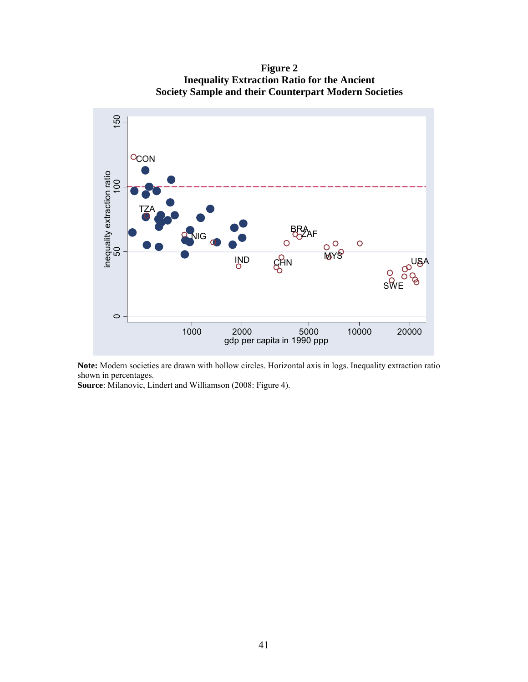150 50 100 150 **OCON** inequality extraction ratio<br>50 inequality extraction ratio TZA BRA ZAF NIG **MYS**  $\circ$  $\Omega$  $\varphi^{\text{USA}}$ IND CHN  $\mathsf{s}\forall$  $\circ$ 1000 2000 5000 10000 20000 gdp per capita in 1990 ppp

**Figure 2 Inequality Extraction Ratio for the Ancient Society Sample and their Counterpart Modern Societies**

**Note:** Modern societies are drawn with hollow circles. Horizontal axis in logs. Inequality extraction ratio shown in percentages.

**Source**: Milanovic, Lindert and Williamson (2008: Figure 4).